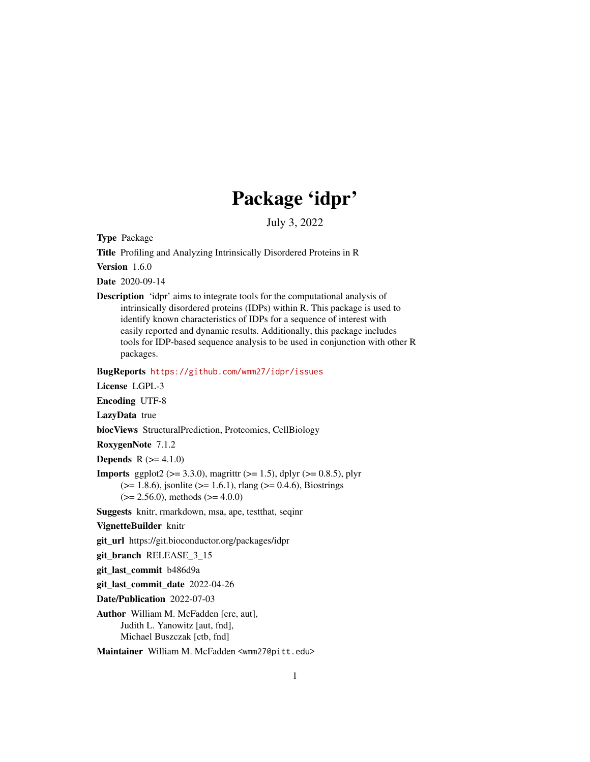# Package 'idpr'

July 3, 2022

<span id="page-0-0"></span>Type Package

Title Profiling and Analyzing Intrinsically Disordered Proteins in R

Version 1.6.0

Date 2020-09-14

Description 'idpr' aims to integrate tools for the computational analysis of intrinsically disordered proteins (IDPs) within R. This package is used to identify known characteristics of IDPs for a sequence of interest with easily reported and dynamic results. Additionally, this package includes tools for IDP-based sequence analysis to be used in conjunction with other R packages.

BugReports <https://github.com/wmm27/idpr/issues>

License LGPL-3

Encoding UTF-8

LazyData true

biocViews StructuralPrediction, Proteomics, CellBiology

RoxygenNote 7.1.2

**Depends**  $R (= 4.1.0)$ 

**Imports** ggplot2 ( $> = 3.3.0$ ), magrittr ( $> = 1.5$ ), dplyr ( $> = 0.8.5$ ), plyr  $(>= 1.8.6)$ , jsonlite  $(>= 1.6.1)$ , rlang  $(>= 0.4.6)$ , Biostrings  $(>= 2.56.0)$ , methods  $(>= 4.0.0)$ 

Suggests knitr, rmarkdown, msa, ape, testthat, seqinr

VignetteBuilder knitr

git\_url https://git.bioconductor.org/packages/idpr

git\_branch RELEASE\_3\_15

git\_last\_commit b486d9a

git\_last\_commit\_date 2022-04-26

Date/Publication 2022-07-03

Author William M. McFadden [cre, aut], Judith L. Yanowitz [aut, fnd], Michael Buszczak [ctb, fnd]

Maintainer William M. McFadden <wmm27@pitt.edu>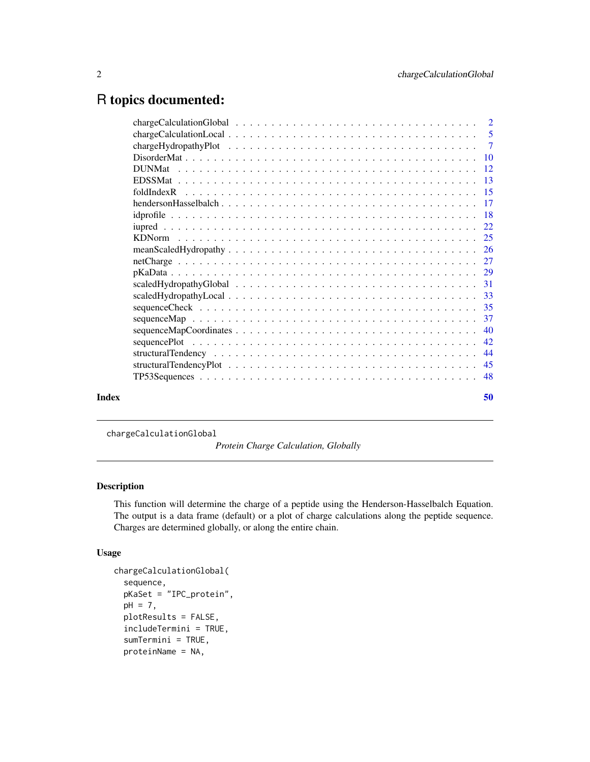# <span id="page-1-0"></span>R topics documented:

| Index |                                                                                                         | 50 |
|-------|---------------------------------------------------------------------------------------------------------|----|
|       |                                                                                                         |    |
|       |                                                                                                         |    |
|       |                                                                                                         |    |
|       |                                                                                                         |    |
|       |                                                                                                         |    |
|       |                                                                                                         |    |
|       |                                                                                                         |    |
|       |                                                                                                         |    |
|       |                                                                                                         |    |
|       |                                                                                                         |    |
|       |                                                                                                         |    |
|       |                                                                                                         |    |
|       |                                                                                                         |    |
|       |                                                                                                         |    |
|       |                                                                                                         |    |
|       |                                                                                                         |    |
|       |                                                                                                         |    |
|       |                                                                                                         |    |
|       |                                                                                                         |    |
|       |                                                                                                         |    |
|       |                                                                                                         |    |
|       | charge Calculation Local $\ldots \ldots \ldots \ldots \ldots \ldots \ldots \ldots \ldots \ldots \ldots$ |    |
|       |                                                                                                         |    |

<span id="page-1-1"></span>chargeCalculationGlobal

*Protein Charge Calculation, Globally*

# Description

This function will determine the charge of a peptide using the Henderson-Hasselbalch Equation. The output is a data frame (default) or a plot of charge calculations along the peptide sequence. Charges are determined globally, or along the entire chain.

# Usage

```
chargeCalculationGlobal(
  sequence,
  pKaSet = "IPC_protein",
 pH = 7,
  plotResults = FALSE,
  includeTermini = TRUE,
  sumTermini = TRUE,
  proteinName = NA,
```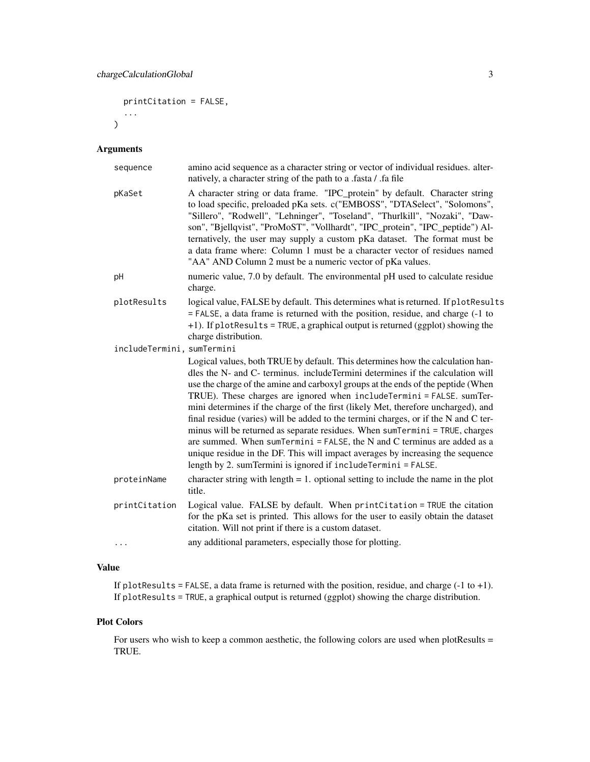```
printCitation = FALSE,
...
```
# Arguments

 $\mathcal{L}$ 

| sequence                   | amino acid sequence as a character string or vector of individual residues. alter-<br>natively, a character string of the path to a .fasta / .fa file                                                                                                                                                                                                                                                                                                                                                                                                                                                                                                                                                                                                                                                                       |  |  |  |
|----------------------------|-----------------------------------------------------------------------------------------------------------------------------------------------------------------------------------------------------------------------------------------------------------------------------------------------------------------------------------------------------------------------------------------------------------------------------------------------------------------------------------------------------------------------------------------------------------------------------------------------------------------------------------------------------------------------------------------------------------------------------------------------------------------------------------------------------------------------------|--|--|--|
| pKaSet                     | A character string or data frame. "IPC_protein" by default. Character string<br>to load specific, preloaded pKa sets. c("EMBOSS", "DTASelect", "Solomons",<br>"Sillero", "Rodwell", "Lehninger", "Toseland", "Thurlkill", "Nozaki", "Daw-<br>son", "Bjellqvist", "ProMoST", "Vollhardt", "IPC_protein", "IPC_peptide") Al-<br>ternatively, the user may supply a custom pKa dataset. The format must be<br>a data frame where: Column 1 must be a character vector of residues named<br>"AA" AND Column 2 must be a numeric vector of pKa values.                                                                                                                                                                                                                                                                           |  |  |  |
| рH                         | numeric value, 7.0 by default. The environmental pH used to calculate residue<br>charge.                                                                                                                                                                                                                                                                                                                                                                                                                                                                                                                                                                                                                                                                                                                                    |  |  |  |
| plotResults                | logical value, FALSE by default. This determines what is returned. If plot Results<br>= FALSE, a data frame is returned with the position, residue, and charge (-1 to<br>+1). If plotResults = TRUE, a graphical output is returned (ggplot) showing the<br>charge distribution.                                                                                                                                                                                                                                                                                                                                                                                                                                                                                                                                            |  |  |  |
| includeTermini, sumTermini | Logical values, both TRUE by default. This determines how the calculation han-<br>dles the N- and C- terminus. includeTermini determines if the calculation will<br>use the charge of the amine and carboxyl groups at the ends of the peptide (When<br>TRUE). These charges are ignored when includeTermini = FALSE. sumTer-<br>mini determines if the charge of the first (likely Met, therefore uncharged), and<br>final residue (varies) will be added to the termini charges, or if the N and C ter-<br>minus will be returned as separate residues. When sumTermini = TRUE, charges<br>are summed. When sumTermini = $FALSE$ , the N and C terminus are added as a<br>unique residue in the DF. This will impact averages by increasing the sequence<br>length by 2. sumTermini is ignored if includeTermini = FALSE. |  |  |  |
| proteinName                | character string with length $= 1$ . optional setting to include the name in the plot<br>title.                                                                                                                                                                                                                                                                                                                                                                                                                                                                                                                                                                                                                                                                                                                             |  |  |  |
| printCitation              | Logical value. FALSE by default. When printCitation = TRUE the citation<br>for the pKa set is printed. This allows for the user to easily obtain the dataset<br>citation. Will not print if there is a custom dataset.                                                                                                                                                                                                                                                                                                                                                                                                                                                                                                                                                                                                      |  |  |  |
| $\cdots$                   | any additional parameters, especially those for plotting.                                                                                                                                                                                                                                                                                                                                                                                                                                                                                                                                                                                                                                                                                                                                                                   |  |  |  |

# Value

If plotResults = FALSE, a data frame is returned with the position, residue, and charge  $(-1 \text{ to } +1)$ . If plotResults = TRUE, a graphical output is returned (ggplot) showing the charge distribution.

#### Plot Colors

For users who wish to keep a common aesthetic, the following colors are used when plotResults = TRUE.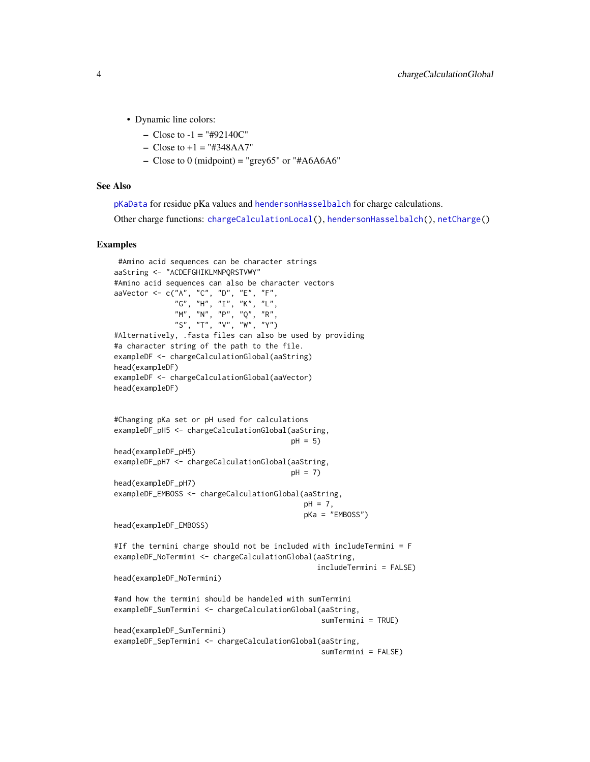- <span id="page-3-0"></span>• Dynamic line colors:
	- Close to  $-1 =$  "#92140C"
	- $-$  Close to  $+1 =$  "#348AA7"
	- Close to 0 (midpoint) = "grey65" or "#A6A6A6"

#### See Also

[pKaData](#page-28-1) for residue pKa values and [hendersonHasselbalch](#page-16-1) for charge calculations.

Other charge functions: [chargeCalculationLocal\(](#page-4-1)), [hendersonHasselbalch\(](#page-16-1)), [netCharge\(](#page-26-1))

#### Examples

```
#Amino acid sequences can be character strings
aaString <- "ACDEFGHIKLMNPQRSTVWY"
#Amino acid sequences can also be character vectors
aaVector <- c("A", "C", "D", "E", "F",
              "G", "H", "I", "K", "L",
              "M", "N", "P", "Q", "R",
              "S", "T", "V", "W", "Y")
#Alternatively, .fasta files can also be used by providing
#a character string of the path to the file.
exampleDF <- chargeCalculationGlobal(aaString)
head(exampleDF)
exampleDF <- chargeCalculationGlobal(aaVector)
head(exampleDF)
#Changing pKa set or pH used for calculations
exampleDF_pH5 <- chargeCalculationGlobal(aaString,
                                         pH = 5)
head(exampleDF_pH5)
exampleDF_pH7 <- chargeCalculationGlobal(aaString,
                                         pH = 7)
head(exampleDF_pH7)
exampleDF_EMBOSS <- chargeCalculationGlobal(aaString,
                                            pH = 7,
                                            pKa = "EMBOSS")
head(exampleDF_EMBOSS)
#If the termini charge should not be included with includeTermini = F
exampleDF_NoTermini <- chargeCalculationGlobal(aaString,
                                               includeTermini = FALSE)
head(exampleDF_NoTermini)
#and how the termini should be handeled with sumTermini
exampleDF_SumTermini <- chargeCalculationGlobal(aaString,
                                                sumTermini = TRUE)
head(exampleDF_SumTermini)
exampleDF_SepTermini <- chargeCalculationGlobal(aaString,
                                                sumTermini = FALSE)
```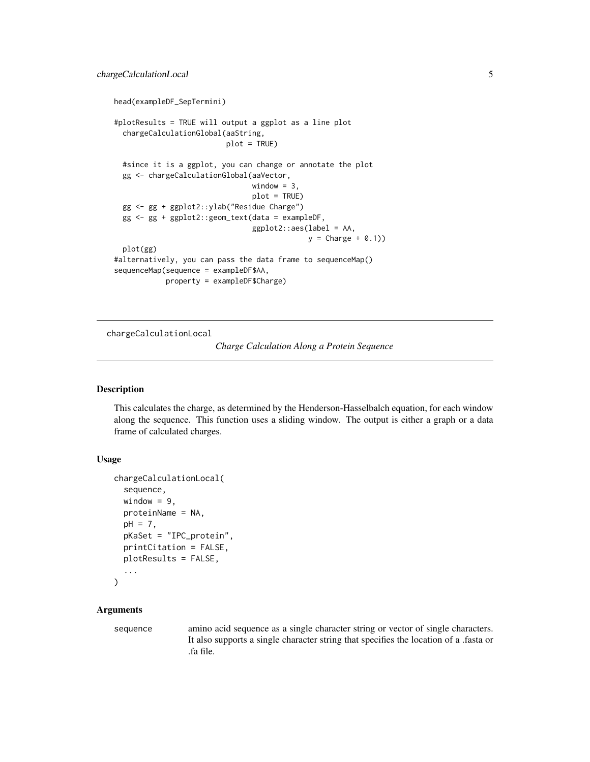```
head(exampleDF_SepTermini)
#plotResults = TRUE will output a ggplot as a line plot
 chargeCalculationGlobal(aaString,
                          plot = TRUE)
 #since it is a ggplot, you can change or annotate the plot
 gg <- chargeCalculationGlobal(aaVector,
                                window = 3,
                                plot = TRUE)
 gg <- gg + ggplot2::ylab("Residue Charge")
 gg <- gg + ggplot2::geom_text(data = exampleDF,
                                ggplot2::aes(label = AA,
                                             y =Charge + 0.1))
 plot(gg)
#alternatively, you can pass the data frame to sequenceMap()
sequenceMap(sequence = exampleDF$AA,
            property = exampleDF$Charge)
```
<span id="page-4-1"></span>chargeCalculationLocal

*Charge Calculation Along a Protein Sequence*

#### Description

This calculates the charge, as determined by the Henderson-Hasselbalch equation, for each window along the sequence. This function uses a sliding window. The output is either a graph or a data frame of calculated charges.

#### Usage

```
chargeCalculationLocal(
  sequence,
  window = 9,
  proteinName = NA,
  pH = 7,
  pKaSet = "IPC_protein",
  printCitation = FALSE,
  plotResults = FALSE,
  ...
\mathcal{L}
```
#### Arguments

sequence amino acid sequence as a single character string or vector of single characters. It also supports a single character string that specifies the location of a .fasta or .fa file.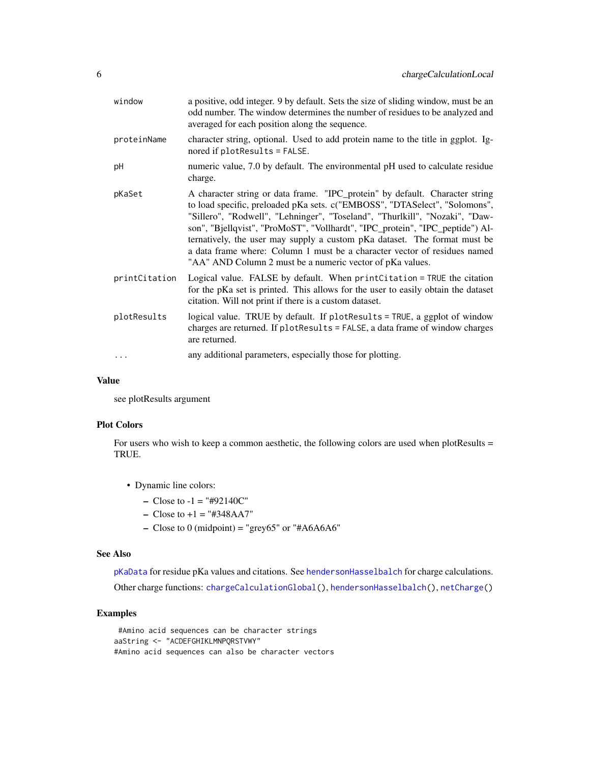<span id="page-5-0"></span>

| window        | a positive, odd integer. 9 by default. Sets the size of sliding window, must be an<br>odd number. The window determines the number of residues to be analyzed and<br>averaged for each position along the sequence.                                                                                                                                                                                                                                                                                                                               |
|---------------|---------------------------------------------------------------------------------------------------------------------------------------------------------------------------------------------------------------------------------------------------------------------------------------------------------------------------------------------------------------------------------------------------------------------------------------------------------------------------------------------------------------------------------------------------|
| proteinName   | character string, optional. Used to add protein name to the title in ggplot. Ig-<br>nored if plotResults = FALSE.                                                                                                                                                                                                                                                                                                                                                                                                                                 |
| pH            | numeric value, 7.0 by default. The environmental pH used to calculate residue<br>charge.                                                                                                                                                                                                                                                                                                                                                                                                                                                          |
| pKaSet        | A character string or data frame. "IPC_protein" by default. Character string<br>to load specific, preloaded pKa sets. c("EMBOSS", "DTASelect", "Solomons",<br>"Sillero", "Rodwell", "Lehninger", "Toseland", "Thurlkill", "Nozaki", "Daw-<br>son", "Bjellqvist", "ProMoST", "Vollhardt", "IPC_protein", "IPC_peptide") Al-<br>ternatively, the user may supply a custom pKa dataset. The format must be<br>a data frame where: Column 1 must be a character vector of residues named<br>"AA" AND Column 2 must be a numeric vector of pKa values. |
| printCitation | Logical value. FALSE by default. When print Citation = TRUE the citation<br>for the pKa set is printed. This allows for the user to easily obtain the dataset<br>citation. Will not print if there is a custom dataset.                                                                                                                                                                                                                                                                                                                           |
| plotResults   | logical value. TRUE by default. If plotResults = TRUE, a ggplot of window<br>charges are returned. If plotResults = FALSE, a data frame of window charges<br>are returned.                                                                                                                                                                                                                                                                                                                                                                        |
|               | any additional parameters, especially those for plotting.                                                                                                                                                                                                                                                                                                                                                                                                                                                                                         |

#### Value

see plotResults argument

#### Plot Colors

For users who wish to keep a common aesthetic, the following colors are used when plotResults = TRUE.

- Dynamic line colors:
	- $-$  Close to  $-1 =$  "#92140C"
	- Close to  $+1 =$  "#348AA7"
	- $-$  Close to 0 (midpoint) = "grey65" or "#A6A6A6"

#### See Also

[pKaData](#page-28-1) for residue pKa values and citations. See [hendersonHasselbalch](#page-16-1) for charge calculations. Other charge functions: [chargeCalculationGlobal\(](#page-1-1)), [hendersonHasselbalch\(](#page-16-1)), [netCharge\(](#page-26-1))

# Examples

#Amino acid sequences can be character strings aaString <- "ACDEFGHIKLMNPQRSTVWY" #Amino acid sequences can also be character vectors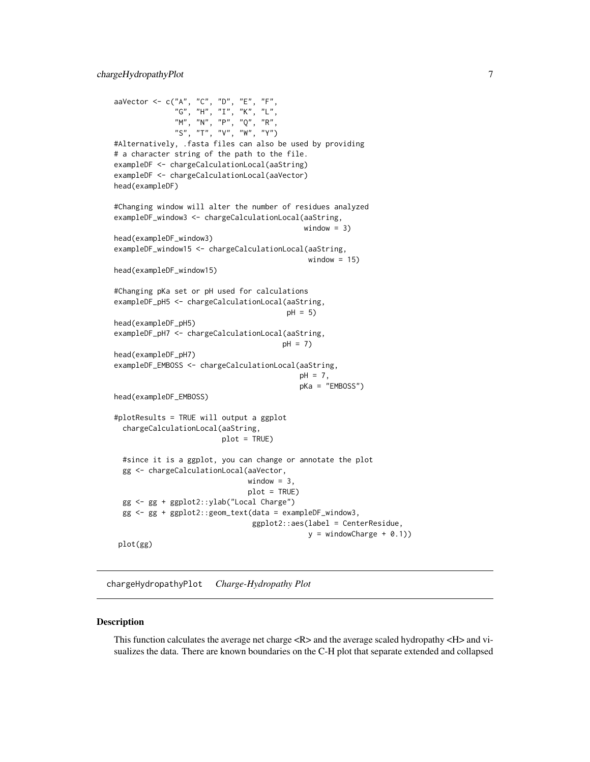```
aaVector <- c("A", "C", "D", "E", "F",
              "G", "H", "I", "K", "L",
              "M", "N", "P", "Q", "R",
              "S", "T", "V", "W", "Y")
#Alternatively, .fasta files can also be used by providing
# a character string of the path to the file.
exampleDF <- chargeCalculationLocal(aaString)
exampleDF <- chargeCalculationLocal(aaVector)
head(exampleDF)
#Changing window will alter the number of residues analyzed
exampleDF_window3 <- chargeCalculationLocal(aaString,
                                            window = 3)head(exampleDF_window3)
exampleDF_window15 <- chargeCalculationLocal(aaString,
                                             window = 15)head(exampleDF_window15)
#Changing pKa set or pH used for calculations
exampleDF_pH5 <- chargeCalculationLocal(aaString,
                                        pH = 5head(exampleDF_pH5)
exampleDF_pH7 <- chargeCalculationLocal(aaString,
                                       pH = 7)
head(exampleDF_pH7)
exampleDF_EMBOSS <- chargeCalculationLocal(aaString,
                                           pH = 7,
                                           pKa = "EMBOSS")
head(exampleDF_EMBOSS)
#plotResults = TRUE will output a ggplot
 chargeCalculationLocal(aaString,
                         plot = TRUE)
 #since it is a ggplot, you can change or annotate the plot
 gg <- chargeCalculationLocal(aaVector,
                               window = 3,
                               plot = TRUE)
 gg <- gg + ggplot2::ylab("Local Charge")
 gg <- gg + ggplot2::geom_text(data = exampleDF_window3,
                                ggplot2::aes(label = CenterResidue,
                                             y = windowCharge + 0.1))
 plot(gg)
```
<span id="page-6-1"></span>chargeHydropathyPlot *Charge-Hydropathy Plot*

#### **Description**

This function calculates the average net charge  $\langle R \rangle$  and the average scaled hydropathy  $\langle H \rangle$  and visualizes the data. There are known boundaries on the C-H plot that separate extended and collapsed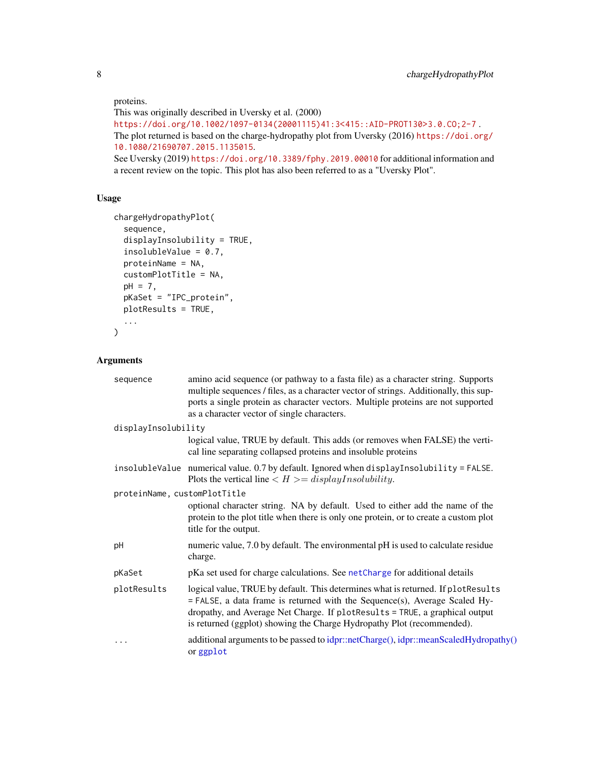#### proteins.

This was originally described in Uversky et al. (2000) [https://doi.org/10.1002/1097-0134\(20001115\)41:3<415::AID-PROT130>3.0.CO;2-7](https://doi.org/10.1002/1097-0134(20001115)41:3<415::AID-PROT130>3.0.CO;2-7) . The plot returned is based on the charge-hydropathy plot from Uversky (2016) [https://doi.org/](https://doi.org/10.1080/21690707.2015.1135015) [10.1080/21690707.2015.1135015](https://doi.org/10.1080/21690707.2015.1135015). See Uversky (2019) <https://doi.org/10.3389/fphy.2019.00010> for additional information and a recent review on the topic. This plot has also been referred to as a "Uversky Plot".

# Usage

```
chargeHydropathyPlot(
  sequence,
  displayInsolubility = TRUE,
  insolubleValue = 0.7,
  proteinName = NA,
  customPlotTitle = NA,
 pH = 7,
 pKaSet = "IPC_protein",
 plotResults = TRUE,
  ...
)
```
# Arguments

| sequence                     | amino acid sequence (or pathway to a fasta file) as a character string. Supports<br>multiple sequences / files, as a character vector of strings. Additionally, this sup-<br>ports a single protein as character vectors. Multiple proteins are not supported<br>as a character vector of single characters.              |  |  |  |  |  |
|------------------------------|---------------------------------------------------------------------------------------------------------------------------------------------------------------------------------------------------------------------------------------------------------------------------------------------------------------------------|--|--|--|--|--|
| displayInsolubility          |                                                                                                                                                                                                                                                                                                                           |  |  |  |  |  |
|                              | logical value, TRUE by default. This adds (or removes when FALSE) the verti-<br>cal line separating collapsed proteins and insoluble proteins                                                                                                                                                                             |  |  |  |  |  |
|                              | insolubleValue numerical value. 0.7 by default. Ignored when displayInsolubility = FALSE.<br>Plots the vertical line $\langle H \rangle = display$ displayInsolubility.                                                                                                                                                   |  |  |  |  |  |
| proteinName, customPlotTitle |                                                                                                                                                                                                                                                                                                                           |  |  |  |  |  |
|                              | optional character string. NA by default. Used to either add the name of the<br>protein to the plot title when there is only one protein, or to create a custom plot<br>title for the output.                                                                                                                             |  |  |  |  |  |
| рH                           | numeric value, 7.0 by default. The environmental pH is used to calculate residue<br>charge.                                                                                                                                                                                                                               |  |  |  |  |  |
| pKaSet                       | pKa set used for charge calculations. See netCharge for additional details                                                                                                                                                                                                                                                |  |  |  |  |  |
| plotResults                  | logical value, TRUE by default. This determines what is returned. If plotResults<br>$=$ FALSE, a data frame is returned with the Sequence(s), Average Scaled Hy-<br>dropathy, and Average Net Charge. If plotResults = TRUE, a graphical output<br>is returned (ggplot) showing the Charge Hydropathy Plot (recommended). |  |  |  |  |  |
| .                            | additional arguments to be passed to idpr::netCharge(), idpr::meanScaledHydropathy()<br>or ggplot                                                                                                                                                                                                                         |  |  |  |  |  |

<span id="page-7-0"></span>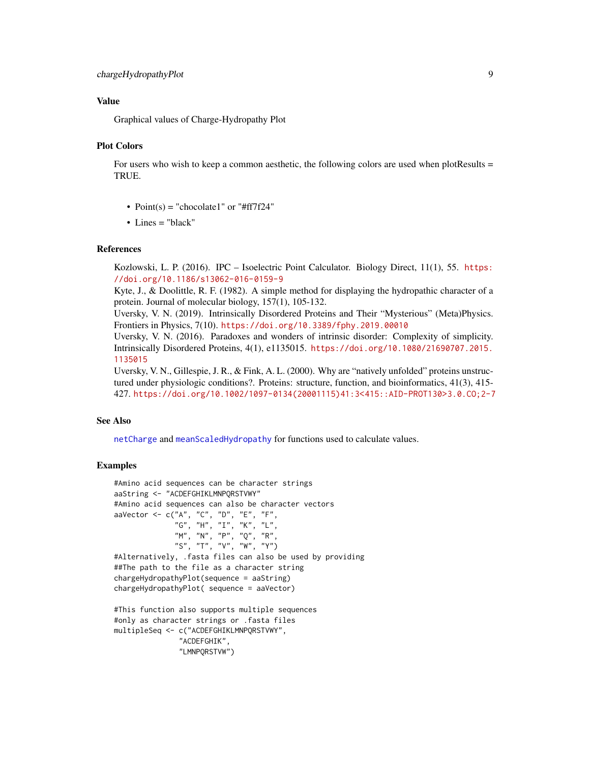#### <span id="page-8-0"></span>Value

Graphical values of Charge-Hydropathy Plot

#### Plot Colors

For users who wish to keep a common aesthetic, the following colors are used when plotResults = TRUE.

- Point(s) = "chocolate1" or "#ff7f24"
- Lines = "black"

# References

Kozlowski, L. P. (2016). IPC – Isoelectric Point Calculator. Biology Direct, 11(1), 55. [https:](https://doi.org/10.1186/s13062-016-0159-9) [//doi.org/10.1186/s13062-016-0159-9](https://doi.org/10.1186/s13062-016-0159-9)

Kyte, J., & Doolittle, R. F. (1982). A simple method for displaying the hydropathic character of a protein. Journal of molecular biology, 157(1), 105-132.

Uversky, V. N. (2019). Intrinsically Disordered Proteins and Their "Mysterious" (Meta)Physics. Frontiers in Physics, 7(10). <https://doi.org/10.3389/fphy.2019.00010>

Uversky, V. N. (2016). Paradoxes and wonders of intrinsic disorder: Complexity of simplicity. Intrinsically Disordered Proteins, 4(1), e1135015. [https://doi.org/10.1080/21690707.2015.](https://doi.org/10.1080/21690707.2015.1135015) [1135015](https://doi.org/10.1080/21690707.2015.1135015)

Uversky, V. N., Gillespie, J. R., & Fink, A. L. (2000). Why are "natively unfolded" proteins unstructured under physiologic conditions?. Proteins: structure, function, and bioinformatics, 41(3), 415- 427. [https://doi.org/10.1002/1097-0134\(20001115\)41:3<415::AID-PROT130>3.0.CO;2-7](https://doi.org/10.1002/1097-0134(20001115)41:3<415::AID-PROT130>3.0.CO;2-7)

#### See Also

[netCharge](#page-26-1) and [meanScaledHydropathy](#page-25-1) for functions used to calculate values.

#### Examples

```
#Amino acid sequences can be character strings
aaString <- "ACDEFGHIKLMNPQRSTVWY"
#Amino acid sequences can also be character vectors
aaVector <- c("A", "C", "D", "E", "F",
              "G", "H", "I", "K", "L",
              "M", "N", "P", "Q", "R",
              "S", "T", "V", "W", "Y")
#Alternatively, .fasta files can also be used by providing
##The path to the file as a character string
chargeHydropathyPlot(sequence = aaString)
chargeHydropathyPlot( sequence = aaVector)
#This function also supports multiple sequences
#only as character strings or .fasta files
multipleSeq <- c("ACDEFGHIKLMNPQRSTVWY",
               "ACDEFGHIK",
               "LMNPQRSTVW")
```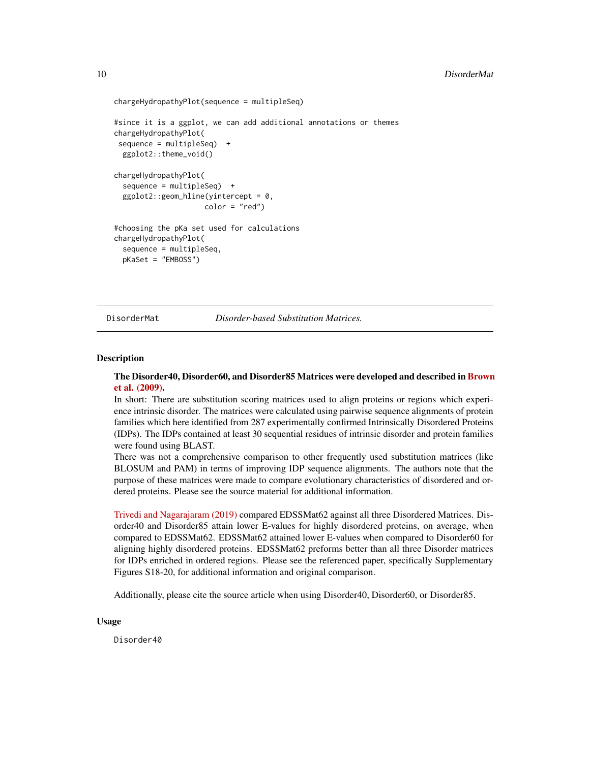```
chargeHydropathyPlot(sequence = multipleSeq)
#since it is a ggplot, we can add additional annotations or themes
chargeHydropathyPlot(
 sequence = multipleSeq) +
 ggplot2::theme_void()
chargeHydropathyPlot(
 sequence = multipleSeq) +
 ggplot2::geom\_hline(yintercept = 0,color = "red")
#choosing the pKa set used for calculations
chargeHydropathyPlot(
 sequence = multipleSeq,
 pKaSet = "EMBOSS")
```
<span id="page-9-1"></span>

DisorderMat *Disorder-based Substitution Matrices.*

#### Description

# The Disorder40, Disorder60, and Disorder85 Matrices were developed and described in [Brown](https://doi.org/10.1093/molbev/msp277) [et al. \(2009\).](https://doi.org/10.1093/molbev/msp277)

In short: There are substitution scoring matrices used to align proteins or regions which experience intrinsic disorder. The matrices were calculated using pairwise sequence alignments of protein families which here identified from 287 experimentally confirmed Intrinsically Disordered Proteins (IDPs). The IDPs contained at least 30 sequential residues of intrinsic disorder and protein families were found using BLAST.

There was not a comprehensive comparison to other frequently used substitution matrices (like BLOSUM and PAM) in terms of improving IDP sequence alignments. The authors note that the purpose of these matrices were made to compare evolutionary characteristics of disordered and ordered proteins. Please see the source material for additional information.

[Trivedi and Nagarajaram \(2019\)](https://doi.org/10.1038/s41598-019-52532-8) compared EDSSMat62 against all three Disordered Matrices. Disorder40 and Disorder85 attain lower E-values for highly disordered proteins, on average, when compared to EDSSMat62. EDSSMat62 attained lower E-values when compared to Disorder60 for aligning highly disordered proteins. EDSSMat62 preforms better than all three Disorder matrices for IDPs enriched in ordered regions. Please see the referenced paper, specifically Supplementary Figures S18-20, for additional information and original comparison.

Additionally, please cite the source article when using Disorder40, Disorder60, or Disorder85.

#### Usage

Disorder40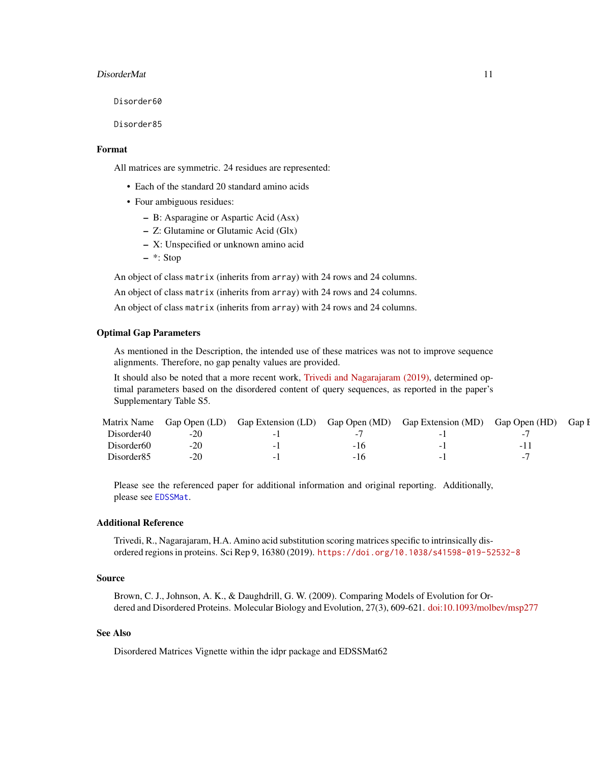#### <span id="page-10-0"></span>DisorderMat 11

Disorder60

Disorder85

#### Format

All matrices are symmetric. 24 residues are represented:

- Each of the standard 20 standard amino acids
- Four ambiguous residues:
	- B: Asparagine or Aspartic Acid (Asx)
	- Z: Glutamine or Glutamic Acid (Glx)
	- X: Unspecified or unknown amino acid
	- \*: Stop

An object of class matrix (inherits from array) with 24 rows and 24 columns.

An object of class matrix (inherits from array) with 24 rows and 24 columns.

An object of class matrix (inherits from array) with 24 rows and 24 columns.

# Optimal Gap Parameters

As mentioned in the Description, the intended use of these matrices was not to improve sequence alignments. Therefore, no gap penalty values are provided.

It should also be noted that a more recent work, [Trivedi and Nagarajaram \(2019\),](https://doi.org/10.1038/s41598-019-52532-8) determined optimal parameters based on the disordered content of query sequences, as reported in the paper's Supplementary Table S5.

| Matrix Name            | Gap Open (LD) | Gap Extension (LD) | Gap Open (MD) | Gap Extension (MD) | Gap Open (HD) | Gap I |
|------------------------|---------------|--------------------|---------------|--------------------|---------------|-------|
| Disorder40             | $-20$         |                    |               |                    |               |       |
| Disorder <sub>60</sub> | $-20$         |                    |               | -                  | - 1           |       |
| Disorder <sup>85</sup> | $-20$         |                    |               |                    |               |       |
|                        |               |                    |               |                    |               |       |

Please see the referenced paper for additional information and original reporting. Additionally, please see [EDSSMat](#page-12-1).

#### Additional Reference

Trivedi, R., Nagarajaram, H.A. Amino acid substitution scoring matrices specific to intrinsically disordered regions in proteins. Sci Rep 9, 16380 (2019). <https://doi.org/10.1038/s41598-019-52532-8>

# Source

Brown, C. J., Johnson, A. K., & Daughdrill, G. W. (2009). Comparing Models of Evolution for Ordered and Disordered Proteins. Molecular Biology and Evolution, 27(3), 609-621. [doi:10.1093/molbev/msp277](https://doi.org/10.1093/molbev/msp277)

#### See Also

Disordered Matrices Vignette within the idpr package and EDSSMat62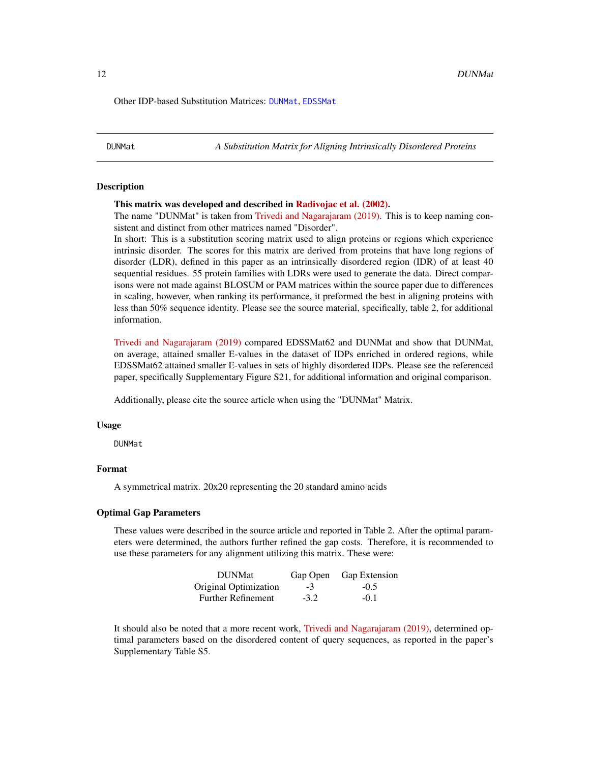<span id="page-11-0"></span>Other IDP-based Substitution Matrices: [DUNMat](#page-11-1), [EDSSMat](#page-12-1)

<span id="page-11-1"></span>DUNMat *A Substitution Matrix for Aligning Intrinsically Disordered Proteins*

#### Description

#### This matrix was developed and described in [Radivojac et al. \(2002\).](https://doi.org/10.1142/9789812799623_0055)

The name "DUNMat" is taken from [Trivedi and Nagarajaram \(2019\).](https://doi.org/10.1038/s41598-019-52532-8) This is to keep naming consistent and distinct from other matrices named "Disorder".

In short: This is a substitution scoring matrix used to align proteins or regions which experience intrinsic disorder. The scores for this matrix are derived from proteins that have long regions of disorder (LDR), defined in this paper as an intrinsically disordered region (IDR) of at least 40 sequential residues. 55 protein families with LDRs were used to generate the data. Direct comparisons were not made against BLOSUM or PAM matrices within the source paper due to differences in scaling, however, when ranking its performance, it preformed the best in aligning proteins with less than 50% sequence identity. Please see the source material, specifically, table 2, for additional information.

[Trivedi and Nagarajaram \(2019\)](https://doi.org/10.1038/s41598-019-52532-8) compared EDSSMat62 and DUNMat and show that DUNMat, on average, attained smaller E-values in the dataset of IDPs enriched in ordered regions, while EDSSMat62 attained smaller E-values in sets of highly disordered IDPs. Please see the referenced paper, specifically Supplementary Figure S21, for additional information and original comparison.

Additionally, please cite the source article when using the "DUNMat" Matrix.

#### Usage

DUNMat

#### Format

A symmetrical matrix. 20x20 representing the 20 standard amino acids

### Optimal Gap Parameters

These values were described in the source article and reported in Table 2. After the optimal parameters were determined, the authors further refined the gap costs. Therefore, it is recommended to use these parameters for any alignment utilizing this matrix. These were:

| <b>DUNMat</b>             |        | Gap Open Gap Extension |
|---------------------------|--------|------------------------|
| Original Optimization     | $-3$   | $-0.5$                 |
| <b>Further Refinement</b> | $-3.2$ | $-0.1$                 |

It should also be noted that a more recent work, [Trivedi and Nagarajaram \(2019\),](https://doi.org/10.1038/s41598-019-52532-8) determined optimal parameters based on the disordered content of query sequences, as reported in the paper's Supplementary Table S5.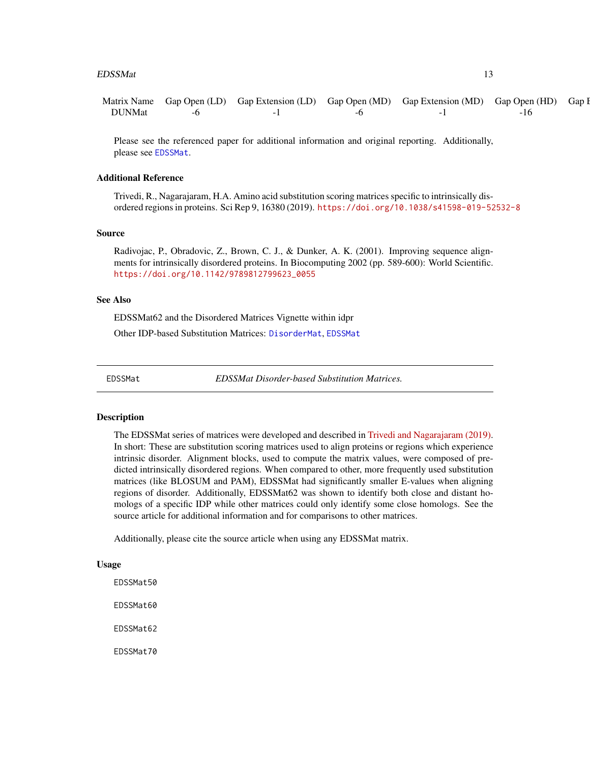#### <span id="page-12-0"></span>EDSSMat 13

|               |  | Matrix Name Gap Open (LD) Gap Extension (LD) Gap Open (MD) Gap Extension (MD) Gap Open (HD) | Gap h |
|---------------|--|---------------------------------------------------------------------------------------------|-------|
| <b>DUNMat</b> |  | -                                                                                           |       |

Please see the referenced paper for additional information and original reporting. Additionally, please see [EDSSMat](#page-12-1).

#### Additional Reference

Trivedi, R., Nagarajaram, H.A. Amino acid substitution scoring matrices specific to intrinsically disordered regions in proteins. Sci Rep 9, 16380 (2019). <https://doi.org/10.1038/s41598-019-52532-8>

#### Source

Radivojac, P., Obradovic, Z., Brown, C. J., & Dunker, A. K. (2001). Improving sequence alignments for intrinsically disordered proteins. In Biocomputing 2002 (pp. 589-600): World Scientific. [https://doi.org/10.1142/9789812799623\\_0055](https://doi.org/10.1142/9789812799623_0055)

#### See Also

EDSSMat62 and the Disordered Matrices Vignette within idpr Other IDP-based Substitution Matrices: [DisorderMat](#page-9-1), [EDSSMat](#page-12-1)

<span id="page-12-1"></span>

EDSSMat *EDSSMat Disorder-based Substitution Matrices.*

### Description

The EDSSMat series of matrices were developed and described in [Trivedi and Nagarajaram \(2019\).](https://doi.org/10.1038/s41598-019-52532-8) In short: These are substitution scoring matrices used to align proteins or regions which experience intrinsic disorder. Alignment blocks, used to compute the matrix values, were composed of predicted intrinsically disordered regions. When compared to other, more frequently used substitution matrices (like BLOSUM and PAM), EDSSMat had significantly smaller E-values when aligning regions of disorder. Additionally, EDSSMat62 was shown to identify both close and distant homologs of a specific IDP while other matrices could only identify some close homologs. See the source article for additional information and for comparisons to other matrices.

Additionally, please cite the source article when using any EDSSMat matrix.

#### Usage

EDSSMat50 EDSSMat60 EDSSMat62 EDSSMat70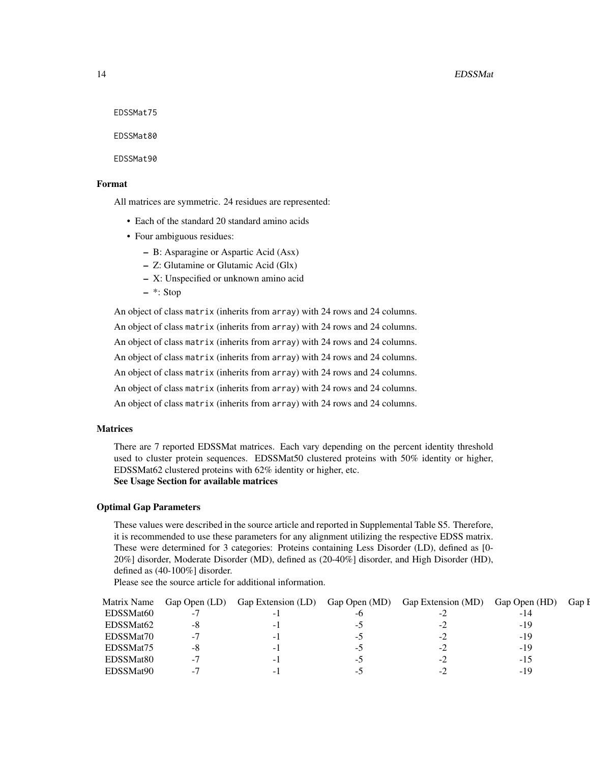EDSSMat75

EDSSMat80

EDSSMat90

# Format

All matrices are symmetric. 24 residues are represented:

- Each of the standard 20 standard amino acids
- Four ambiguous residues:
	- B: Asparagine or Aspartic Acid (Asx)
	- Z: Glutamine or Glutamic Acid (Glx)
	- X: Unspecified or unknown amino acid
	- \*: Stop

An object of class matrix (inherits from array) with 24 rows and 24 columns.

An object of class matrix (inherits from array) with 24 rows and 24 columns.

An object of class matrix (inherits from array) with 24 rows and 24 columns.

An object of class matrix (inherits from array) with 24 rows and 24 columns.

An object of class matrix (inherits from array) with 24 rows and 24 columns.

An object of class matrix (inherits from array) with 24 rows and 24 columns.

An object of class matrix (inherits from array) with 24 rows and 24 columns.

#### **Matrices**

There are 7 reported EDSSMat matrices. Each vary depending on the percent identity threshold used to cluster protein sequences. EDSSMat50 clustered proteins with 50% identity or higher, EDSSMat62 clustered proteins with 62% identity or higher, etc. See Usage Section for available matrices

#### Optimal Gap Parameters

These values were described in the source article and reported in Supplemental Table S5. Therefore, it is recommended to use these parameters for any alignment utilizing the respective EDSS matrix. These were determined for 3 categories: Proteins containing Less Disorder (LD), defined as [0- 20%] disorder, Moderate Disorder (MD), defined as (20-40%] disorder, and High Disorder (HD), defined as (40-100%] disorder.

Please see the source article for additional information.

| Matrix Name           |          | Gap Open (LD) Gap Extension (LD) Gap Open (MD) |    | Gap Extension (MD) | Gap Open (HD) | Gap F |
|-----------------------|----------|------------------------------------------------|----|--------------------|---------------|-------|
| EDSSMat60             | $\sim$ 1 | - 1                                            | -0 | $-z$               | $-14$         |       |
| EDSSMat <sub>62</sub> |          | - 1                                            |    | -2                 | $-19$         |       |
| EDSSMat70             | $\sim$ 1 | - 1                                            |    | -2                 | $-19$         |       |
| EDSSMat75             | -8       | - 1                                            |    | $-2$               | -19           |       |
| EDSSMat80             | $-1$     | - 1                                            |    | -2                 | $-1.5$        |       |
| EDSSMat90             | $\sim$ 1 | -                                              |    | ر ب                | $-19$         |       |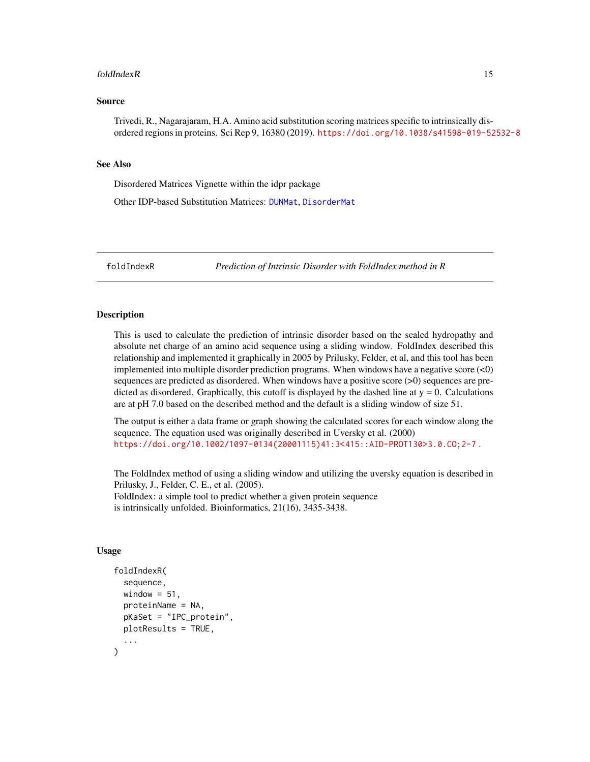#### <span id="page-14-0"></span>foldIndexR 15

#### Source

Trivedi, R., Nagarajaram, H.A. Amino acid substitution scoring matrices specific to intrinsically disordered regions in proteins. Sci Rep 9, 16380 (2019). <https://doi.org/10.1038/s41598-019-52532-8>

#### See Also

Disordered Matrices Vignette within the idpr package

Other IDP-based Substitution Matrices: [DUNMat](#page-11-1), [DisorderMat](#page-9-1)

<span id="page-14-1"></span>foldIndexR *Prediction of Intrinsic Disorder with FoldIndex method in R*

#### Description

This is used to calculate the prediction of intrinsic disorder based on the scaled hydropathy and absolute net charge of an amino acid sequence using a sliding window. FoldIndex described this relationship and implemented it graphically in 2005 by Prilusky, Felder, et al, and this tool has been implemented into multiple disorder prediction programs. When windows have a negative score (<0) sequences are predicted as disordered. When windows have a positive score ( $>0$ ) sequences are predicted as disordered. Graphically, this cutoff is displayed by the dashed line at  $y = 0$ . Calculations are at pH 7.0 based on the described method and the default is a sliding window of size 51.

The output is either a data frame or graph showing the calculated scores for each window along the sequence. The equation used was originally described in Uversky et al. (2000) [https://doi.org/10.1002/1097-0134\(20001115\)41:3<415::AID-PROT130>3.0.CO;2-7](https://doi.org/10.1002/1097-0134(20001115)41:3<415::AID-PROT130>3.0.CO;2-7) .

The FoldIndex method of using a sliding window and utilizing the uversky equation is described in Prilusky, J., Felder, C. E., et al. (2005). FoldIndex: a simple tool to predict whether a given protein sequence is intrinsically unfolded. Bioinformatics, 21(16), 3435-3438.

# Usage

```
foldIndexR(
  sequence,
  window = 51,
  proteinName = NA,
  pKaSet = "IPC_protein",
 plotResults = TRUE,
  ...
)
```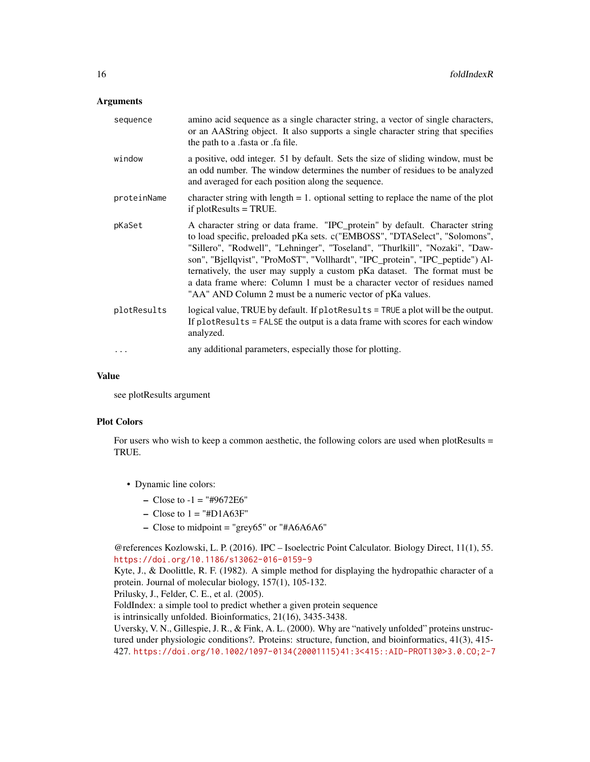#### Arguments

| sequence    | amino acid sequence as a single character string, a vector of single characters,<br>or an AAString object. It also supports a single character string that specifies<br>the path to a <i>fasta</i> or <i>fa</i> file.                                                                                                                                                                                                                                                                                                                             |
|-------------|---------------------------------------------------------------------------------------------------------------------------------------------------------------------------------------------------------------------------------------------------------------------------------------------------------------------------------------------------------------------------------------------------------------------------------------------------------------------------------------------------------------------------------------------------|
| window      | a positive, odd integer. 51 by default. Sets the size of sliding window, must be<br>an odd number. The window determines the number of residues to be analyzed<br>and averaged for each position along the sequence.                                                                                                                                                                                                                                                                                                                              |
| proteinName | character string with length $= 1$ . optional setting to replace the name of the plot<br>if $plotResults = TRUE$ .                                                                                                                                                                                                                                                                                                                                                                                                                                |
| pKaSet      | A character string or data frame. "IPC_protein" by default. Character string<br>to load specific, preloaded pKa sets. c("EMBOSS", "DTASelect", "Solomons",<br>"Sillero", "Rodwell", "Lehninger", "Toseland", "Thurlkill", "Nozaki", "Daw-<br>son", "Bjellqvist", "ProMoST", "Vollhardt", "IPC_protein", "IPC_peptide") Al-<br>ternatively, the user may supply a custom pKa dataset. The format must be<br>a data frame where: Column 1 must be a character vector of residues named<br>"AA" AND Column 2 must be a numeric vector of pKa values. |
| plotResults | logical value, TRUE by default. If plotResults = TRUE a plot will be the output.<br>If plotResults = FALSE the output is a data frame with scores for each window<br>analyzed.                                                                                                                                                                                                                                                                                                                                                                    |
|             | any additional parameters, especially those for plotting.                                                                                                                                                                                                                                                                                                                                                                                                                                                                                         |

#### Value

see plotResults argument

#### Plot Colors

For users who wish to keep a common aesthetic, the following colors are used when plotResults = TRUE.

- Dynamic line colors:
	- $-$  Close to  $-1 =$  "#9672E6"
	- $-$  Close to  $1 =$  "#D1A63F"
	- Close to midpoint = "grey65" or "#A6A6A6"

@references Kozlowski, L. P. (2016). IPC – Isoelectric Point Calculator. Biology Direct, 11(1), 55. <https://doi.org/10.1186/s13062-016-0159-9>

Kyte, J., & Doolittle, R. F. (1982). A simple method for displaying the hydropathic character of a protein. Journal of molecular biology, 157(1), 105-132.

Prilusky, J., Felder, C. E., et al. (2005).

FoldIndex: a simple tool to predict whether a given protein sequence

is intrinsically unfolded. Bioinformatics, 21(16), 3435-3438.

Uversky, V. N., Gillespie, J. R., & Fink, A. L. (2000). Why are "natively unfolded" proteins unstructured under physiologic conditions?. Proteins: structure, function, and bioinformatics, 41(3), 415- 427. [https://doi.org/10.1002/1097-0134\(20001115\)41:3<415::AID-PROT130>3.0.CO;2-7](https://doi.org/10.1002/1097-0134(20001115)41:3<415::AID-PROT130>3.0.CO;2-7)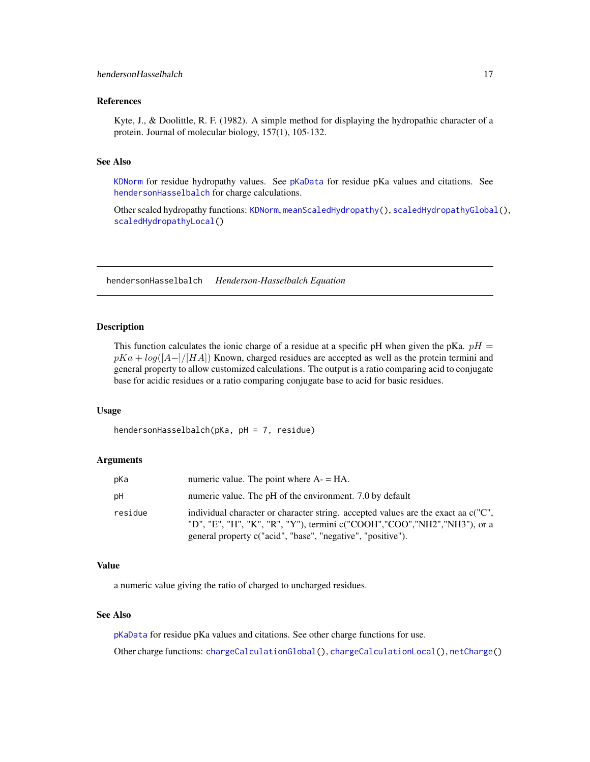# <span id="page-16-0"></span>References

Kyte, J., & Doolittle, R. F. (1982). A simple method for displaying the hydropathic character of a protein. Journal of molecular biology, 157(1), 105-132.

#### See Also

[KDNorm](#page-24-1) for residue hydropathy values. See [pKaData](#page-28-1) for residue pKa values and citations. See [hendersonHasselbalch](#page-16-1) for charge calculations.

Other scaled hydropathy functions: [KDNorm](#page-24-1), [meanScaledHydropathy\(](#page-25-1)), [scaledHydropathyGlobal\(](#page-30-1)), [scaledHydropathyLocal\(](#page-32-1))

<span id="page-16-1"></span>hendersonHasselbalch *Henderson-Hasselbalch Equation*

#### Description

This function calculates the ionic charge of a residue at a specific pH when given the pKa.  $pH =$  $pKa + log([A-]/[HA])$  Known, charged residues are accepted as well as the protein termini and general property to allow customized calculations. The output is a ratio comparing acid to conjugate base for acidic residues or a ratio comparing conjugate base to acid for basic residues.

#### Usage

hendersonHasselbalch(pKa, pH = 7, residue)

#### Arguments

| pKa     | numeric value. The point where $A = HA$ .                                                                                                                                                                                    |
|---------|------------------------------------------------------------------------------------------------------------------------------------------------------------------------------------------------------------------------------|
| pH      | numeric value. The pH of the environment. 7.0 by default                                                                                                                                                                     |
| residue | individual character or character string, accepted values are the exact aa c("C",<br>"D", "E", "H", "K", "R", "Y"), termini c("COOH","COO","NH2","NH3"), or a<br>general property c("acid", "base", "negative", "positive"). |

#### Value

a numeric value giving the ratio of charged to uncharged residues.

# See Also

[pKaData](#page-28-1) for residue pKa values and citations. See other charge functions for use. Other charge functions: [chargeCalculationGlobal\(](#page-1-1)), [chargeCalculationLocal\(](#page-4-1)), [netCharge\(](#page-26-1))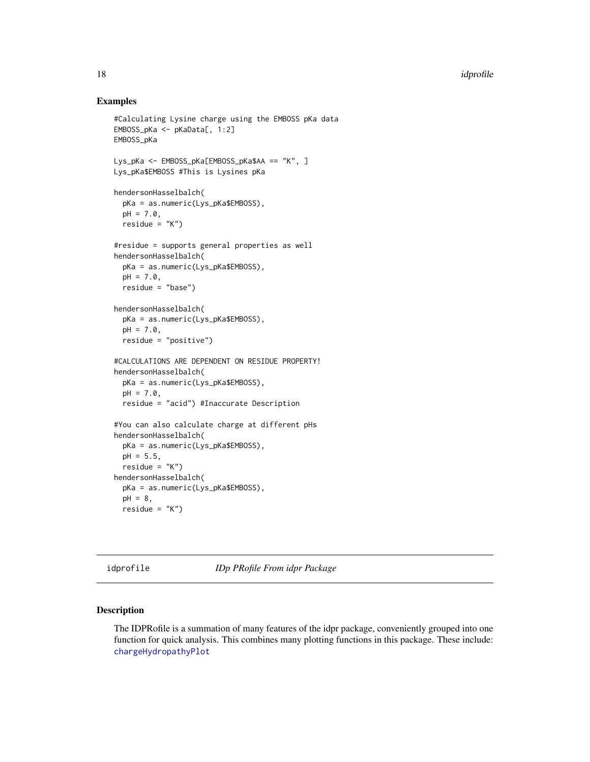#### Examples

```
#Calculating Lysine charge using the EMBOSS pKa data
EMBOSS_pKa <- pKaData[, 1:2]
EMBOSS_pKa
Lys_pKa <- EMBOSS_pKa[EMBOSS_pKa$AA == "K", ]
Lys_pKa$EMBOSS #This is Lysines pKa
hendersonHasselbalch(
  pKa = as.numeric(Lys_pKa$EMBOSS),
  pH = 7.0,
  residue = "K")
#residue = supports general properties as well
hendersonHasselbalch(
  pKa = as.numeric(Lys_pKa$EMBOSS),
  pH = 7.0,
  residue = "base")
hendersonHasselbalch(
  pKa = as.numeric(Lys_pKa$EMBOSS),
  pH = 7.0,
  residue = "positive")
#CALCULATIONS ARE DEPENDENT ON RESIDUE PROPERTY!
hendersonHasselbalch(
  pKa = as.numeric(Lys_pKa$EMBOSS),
  pH = 7.0,
  residue = "acid") #Inaccurate Description
#You can also calculate charge at different pHs
hendersonHasselbalch(
  pKa = as.numeric(Lys_pKa$EMBOSS),
  pH = 5.5,
  residue = "K")hendersonHasselbalch(
  pKa = as.numeric(Lys_pKa$EMBOSS),
  pH = 8,
  residue = "K")
```
idprofile *IDp PRofile From idpr Package*

## Description

The IDPRofile is a summation of many features of the idpr package, conveniently grouped into one function for quick analysis. This combines many plotting functions in this package. These include: [chargeHydropathyPlot](#page-6-1)

<span id="page-17-0"></span>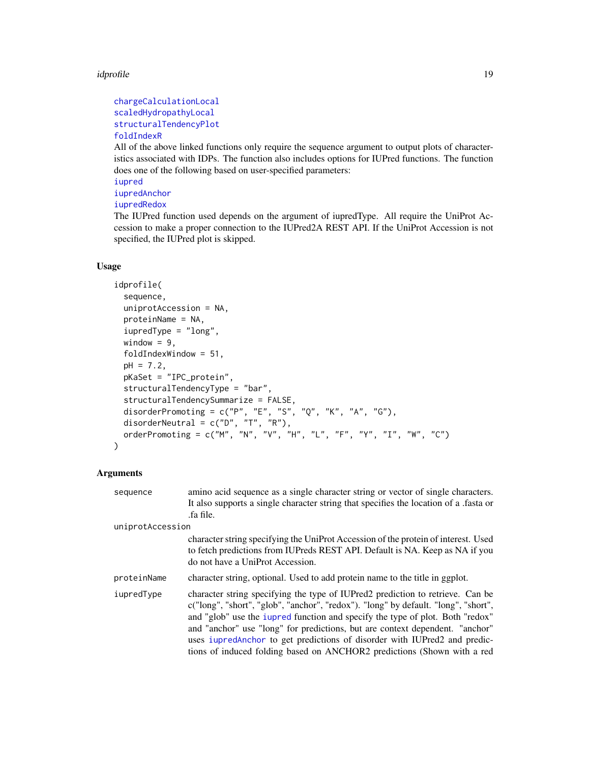#### <span id="page-18-0"></span>idprofile that the contract of the contract of the contract of the contract of the contract of the contract of the contract of the contract of the contract of the contract of the contract of the contract of the contract of

[chargeCalculationLocal](#page-4-1) [scaledHydropathyLocal](#page-32-1) [structuralTendencyPlot](#page-44-1) [foldIndexR](#page-14-1)

All of the above linked functions only require the sequence argument to output plots of characteristics associated with IDPs. The function also includes options for IUPred functions. The function does one of the following based on user-specified parameters:

[iupred](#page-21-1)

# [iupredAnchor](#page-21-2)

# [iupredRedox](#page-21-2)

The IUPred function used depends on the argument of iupredType. All require the UniProt Accession to make a proper connection to the IUPred2A REST API. If the UniProt Accession is not specified, the IUPred plot is skipped.

#### Usage

```
idprofile(
  sequence,
  uniprotAccession = NA,
 proteinName = NA,
  iupredType = "long",
  window = 9,
  foldIndexWindow = 51,
  pH = 7.2,
 pKaSet = "IPC_protein",
  structuralTendencyType = "bar",
  structuralTendencySummarize = FALSE,
 disorderPromoting = c("P", "E", "S", "Q", "K", "A", "G"),disorderNeutral = c("D", "T", "R"),
 orderPromoting = c("M", "N", "V", "H", "L", "F", "Y", "I", "W", "C")\mathcal{L}
```
#### Arguments

| sequence         | amino acid sequence as a single character string or vector of single characters.<br>It also supports a single character string that specifies the location of a fasta or<br>.fa file.                                                                                                                                                                                                                                                                                                         |
|------------------|-----------------------------------------------------------------------------------------------------------------------------------------------------------------------------------------------------------------------------------------------------------------------------------------------------------------------------------------------------------------------------------------------------------------------------------------------------------------------------------------------|
| uniprotAccession |                                                                                                                                                                                                                                                                                                                                                                                                                                                                                               |
|                  | character string specifying the UniProt Accession of the protein of interest. Used<br>to fetch predictions from IUPreds REST API. Default is NA. Keep as NA if you<br>do not have a UniProt Accession.                                                                                                                                                                                                                                                                                        |
| proteinName      | character string, optional. Used to add protein name to the title in ggplot.                                                                                                                                                                                                                                                                                                                                                                                                                  |
| iupredType       | character string specifying the type of IUPred2 prediction to retrieve. Can be<br>c("long", "short", "glob", "anchor", "redox"). "long" by default. "long", "short",<br>and "glob" use the inpred function and specify the type of plot. Both "redox"<br>and "anchor" use "long" for predictions, but are context dependent. "anchor"<br>uses iupredAnchor to get predictions of disorder with IUPred2 and predic-<br>tions of induced folding based on ANCHOR2 predictions (Shown with a red |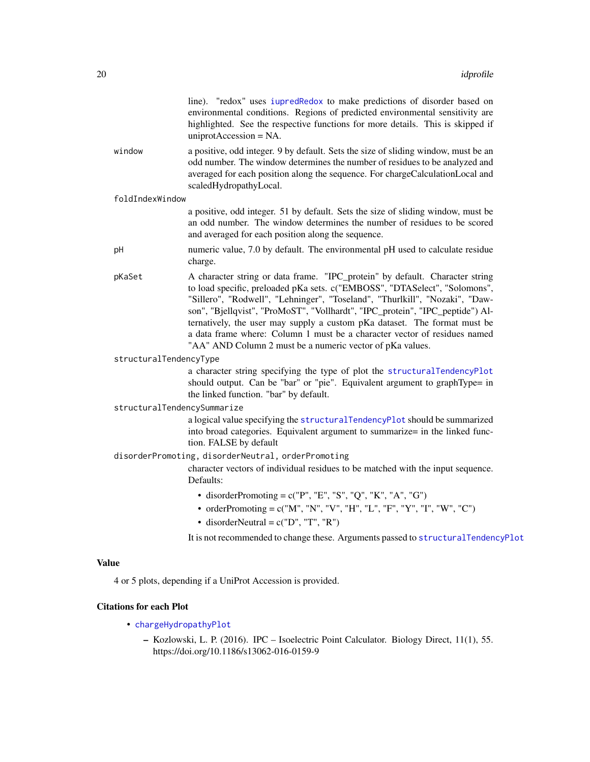line). "redox" uses [iupredRedox](#page-21-2) to make predictions of disorder based on environmental conditions. Regions of predicted environmental sensitivity are highlighted. See the respective functions for more details. This is skipped if uniprotAccession = NA.

<span id="page-19-0"></span>window a positive, odd integer. 9 by default. Sets the size of sliding window, must be an odd number. The window determines the number of residues to be analyzed and averaged for each position along the sequence. For chargeCalculationLocal and scaledHydropathyLocal.

#### foldIndexWindow

a positive, odd integer. 51 by default. Sets the size of sliding window, must be an odd number. The window determines the number of residues to be scored and averaged for each position along the sequence.

- pH numeric value, 7.0 by default. The environmental pH used to calculate residue charge.
- pKaSet A character string or data frame. "IPC\_protein" by default. Character string to load specific, preloaded pKa sets. c("EMBOSS", "DTASelect", "Solomons", "Sillero", "Rodwell", "Lehninger", "Toseland", "Thurlkill", "Nozaki", "Dawson", "Bjellqvist", "ProMoST", "Vollhardt", "IPC\_protein", "IPC\_peptide") Alternatively, the user may supply a custom pKa dataset. The format must be a data frame where: Column 1 must be a character vector of residues named "AA" AND Column 2 must be a numeric vector of pKa values.

#### structuralTendencyType

a character string specifying the type of plot the [structuralTendencyPlot](#page-44-1) should output. Can be "bar" or "pie". Equivalent argument to graphType= in the linked function. "bar" by default.

structuralTendencySummarize

a logical value specifying the [structuralTendencyPlot](#page-44-1) should be summarized into broad categories. Equivalent argument to summarize= in the linked function. FALSE by default

disorderPromoting, disorderNeutral, orderPromoting

character vectors of individual residues to be matched with the input sequence. Defaults:

- disorderPromoting =  $c("P", "E", "S", "Q", "K", "A", "G")$
- orderPromoting =  $c("M", "N", "V", "H", "L", "F", "Y", "I", "W", "C")$
- disorderNeutral =  $c("D", "T", "R")$

It is not recommended to change these. Arguments passed to [structuralTendencyPlot](#page-44-1)

#### Value

4 or 5 plots, depending if a UniProt Accession is provided.

#### Citations for each Plot

- [chargeHydropathyPlot](#page-6-1)
	- Kozlowski, L. P. (2016). IPC Isoelectric Point Calculator. Biology Direct, 11(1), 55. https://doi.org/10.1186/s13062-016-0159-9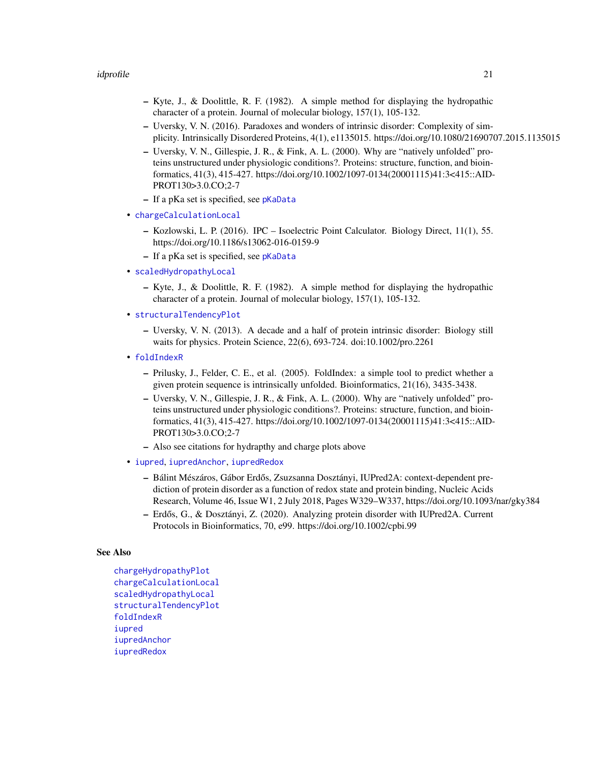#### <span id="page-20-0"></span>idprofile 21

- Kyte, J., & Doolittle, R. F. (1982). A simple method for displaying the hydropathic character of a protein. Journal of molecular biology, 157(1), 105-132.
- Uversky, V. N. (2016). Paradoxes and wonders of intrinsic disorder: Complexity of simplicity. Intrinsically Disordered Proteins, 4(1), e1135015. https://doi.org/10.1080/21690707.2015.1135015
- Uversky, V. N., Gillespie, J. R., & Fink, A. L. (2000). Why are "natively unfolded" proteins unstructured under physiologic conditions?. Proteins: structure, function, and bioinformatics, 41(3), 415-427. https://doi.org/10.1002/1097-0134(20001115)41:3<415::AID-PROT130>3.0.CO;2-7
- If a pKa set is specified, see [pKaData](#page-28-1)
- [chargeCalculationLocal](#page-4-1)
	- Kozlowski, L. P. (2016). IPC Isoelectric Point Calculator. Biology Direct, 11(1), 55. https://doi.org/10.1186/s13062-016-0159-9
	- If a pKa set is specified, see [pKaData](#page-28-1)
- [scaledHydropathyLocal](#page-32-1)
	- Kyte, J., & Doolittle, R. F. (1982). A simple method for displaying the hydropathic character of a protein. Journal of molecular biology, 157(1), 105-132.
- [structuralTendencyPlot](#page-44-1)
	- Uversky, V. N. (2013). A decade and a half of protein intrinsic disorder: Biology still waits for physics. Protein Science, 22(6), 693-724. doi:10.1002/pro.2261
- [foldIndexR](#page-14-1)
	- Prilusky, J., Felder, C. E., et al. (2005). FoldIndex: a simple tool to predict whether a given protein sequence is intrinsically unfolded. Bioinformatics, 21(16), 3435-3438.
	- Uversky, V. N., Gillespie, J. R., & Fink, A. L. (2000). Why are "natively unfolded" proteins unstructured under physiologic conditions?. Proteins: structure, function, and bioinformatics, 41(3), 415-427. https://doi.org/10.1002/1097-0134(20001115)41:3<415::AID-PROT130>3.0.CO;2-7
	- Also see citations for hydrapthy and charge plots above
- [iupred](#page-21-1), [iupredAnchor](#page-21-2), [iupredRedox](#page-21-2)
	- Bálint Mészáros, Gábor Erdos, Zsuzsanna Dosztányi, IUPred2A: context-dependent pre- ˝ diction of protein disorder as a function of redox state and protein binding, Nucleic Acids Research, Volume 46, Issue W1, 2 July 2018, Pages W329–W337, https://doi.org/10.1093/nar/gky384
	- $-$  Erdős, G., & Dosztányi, Z. (2020). Analyzing protein disorder with IUPred2A. Current Protocols in Bioinformatics, 70, e99. https://doi.org/10.1002/cpbi.99

#### See Also

[chargeHydropathyPlot](#page-6-1) [chargeCalculationLocal](#page-4-1) [scaledHydropathyLocal](#page-32-1) [structuralTendencyPlot](#page-44-1) [foldIndexR](#page-14-1) [iupred](#page-21-1) [iupredAnchor](#page-21-2) [iupredRedox](#page-21-2)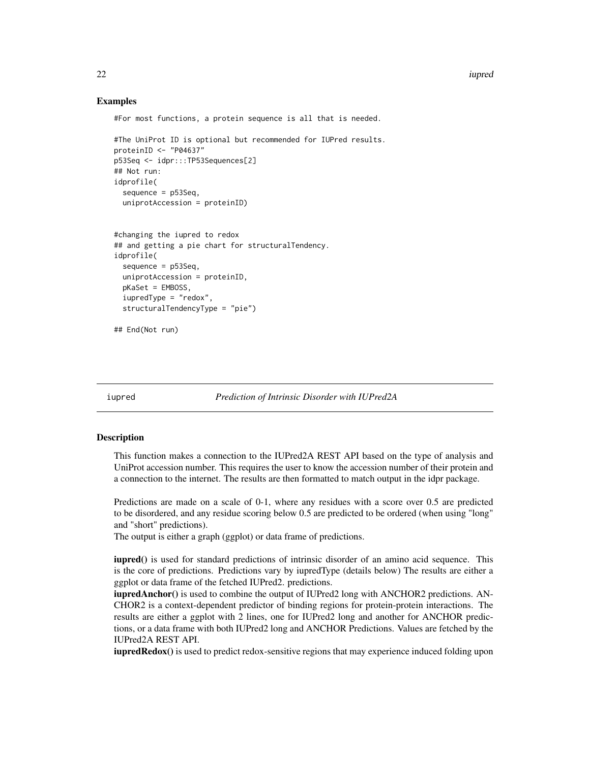#### <span id="page-21-0"></span>Examples

#For most functions, a protein sequence is all that is needed.

```
#The UniProt ID is optional but recommended for IUPred results.
proteinID <- "P04637"
p53Seq <- idpr:::TP53Sequences[2]
## Not run:
idprofile(
 sequence = p53Seq,
 uniprotAccession = proteinID)
```

```
#changing the iupred to redox
## and getting a pie chart for structuralTendency.
idprofile(
 sequence = p53Seq,
 uniprotAccession = proteinID,
 pKaSet = EMBOSS,
 iupredType = "redox",
 structuralTendencyType = "pie")
```
## End(Not run)

<span id="page-21-1"></span>iupred *Prediction of Intrinsic Disorder with IUPred2A*

#### <span id="page-21-2"></span>Description

This function makes a connection to the IUPred2A REST API based on the type of analysis and UniProt accession number. This requires the user to know the accession number of their protein and a connection to the internet. The results are then formatted to match output in the idpr package.

Predictions are made on a scale of 0-1, where any residues with a score over 0.5 are predicted to be disordered, and any residue scoring below 0.5 are predicted to be ordered (when using "long" and "short" predictions).

The output is either a graph (ggplot) or data frame of predictions.

iupred() is used for standard predictions of intrinsic disorder of an amino acid sequence. This is the core of predictions. Predictions vary by iupredType (details below) The results are either a ggplot or data frame of the fetched IUPred2. predictions.

**iupredAnchor**() is used to combine the output of IUPred2 long with ANCHOR2 predictions. AN-CHOR2 is a context-dependent predictor of binding regions for protein-protein interactions. The results are either a ggplot with 2 lines, one for IUPred2 long and another for ANCHOR predictions, or a data frame with both IUPred2 long and ANCHOR Predictions. Values are fetched by the IUPred2A REST API.

iupredRedox() is used to predict redox-sensitive regions that may experience induced folding upon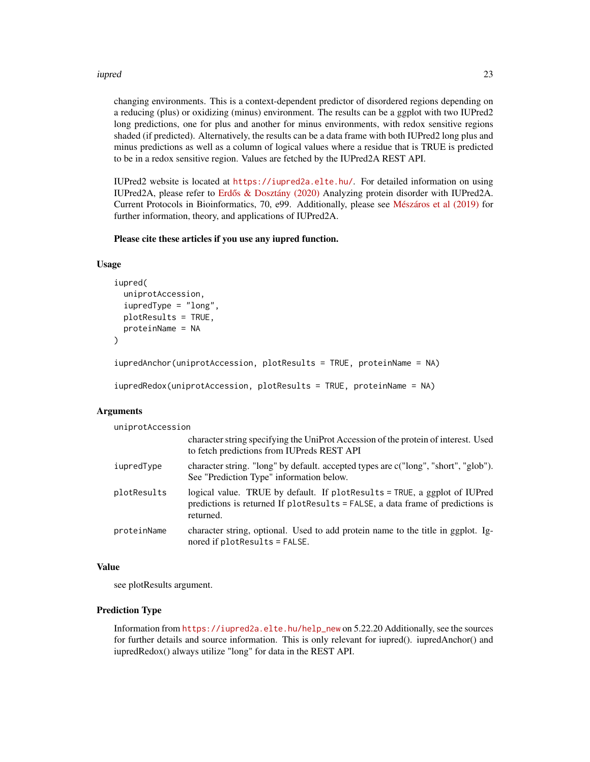#### iupred 23

changing environments. This is a context-dependent predictor of disordered regions depending on a reducing (plus) or oxidizing (minus) environment. The results can be a ggplot with two IUPred2 long predictions, one for plus and another for minus environments, with redox sensitive regions shaded (if predicted). Alternatively, the results can be a data frame with both IUPred2 long plus and minus predictions as well as a column of logical values where a residue that is TRUE is predicted to be in a redox sensitive region. Values are fetched by the IUPred2A REST API.

IUPred2 website is located at <https://iupred2a.elte.hu/>. For detailed information on using IUPred2A, please refer to Erdős & Dosztány (2020) Analyzing protein disorder with IUPred2A. Current Protocols in Bioinformatics, 70, e99. Additionally, please see [Mészáros et al \(2019\)](https://doi.org/10.1093/nar/gky384) for further information, theory, and applications of IUPred2A.

Please cite these articles if you use any iupred function.

#### Usage

```
iupred(
  uniprotAccession,
  iupredType = "long",
  plotResults = TRUE,
 proteinName = NA
)
```
iupredAnchor(uniprotAccession, plotResults = TRUE, proteinName = NA)

```
iupredRedox(uniprotAccession, plotResults = TRUE, proteinName = NA)
```
#### Arguments

uniprotAccession

|             | character string specifying the UniProt Accession of the protein of interest. Used<br>to fetch predictions from IUPreds REST API                                          |
|-------------|---------------------------------------------------------------------------------------------------------------------------------------------------------------------------|
| iupredType  | character string. "long" by default. accepted types are c("long", "short", "glob").<br>See "Prediction Type" information below.                                           |
| plotResults | logical value. TRUE by default. If plot Results = TRUE, a ggplot of IUPred<br>predictions is returned If plotResults = FALSE, a data frame of predictions is<br>returned. |
| proteinName | character string, optional. Used to add protein name to the title in ggplot. Ig-<br>nored if plotResults = FALSE.                                                         |

#### Value

see plotResults argument.

#### Prediction Type

Information from [https://iupred2a.elte.hu/help\\_new](https://iupred2a.elte.hu/help_new) on 5.22.20 Additionally, see the sources for further details and source information. This is only relevant for iupred(). iupredAnchor() and iupredRedox() always utilize "long" for data in the REST API.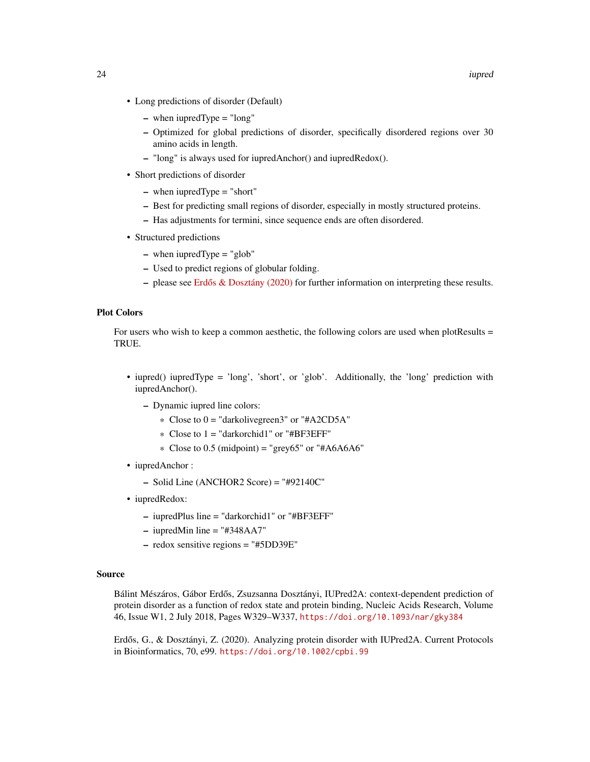- Long predictions of disorder (Default)
	- when iupredType = "long"
	- Optimized for global predictions of disorder, specifically disordered regions over 30 amino acids in length.
	- "long" is always used for iupredAnchor() and iupredRedox().
- Short predictions of disorder
	- when iupredType = "short"
	- Best for predicting small regions of disorder, especially in mostly structured proteins.
	- Has adjustments for termini, since sequence ends are often disordered.
- Structured predictions
	- $-$  when iupredType  $=$  "glob"
	- Used to predict regions of globular folding.
	- please see Erdős & Dosztány (2020) for further information on interpreting these results.

# Plot Colors

For users who wish to keep a common aesthetic, the following colors are used when plotResults = TRUE.

- iupred() iupredType = 'long', 'short', or 'glob'. Additionally, the 'long' prediction with iupredAnchor().
	- Dynamic iupred line colors:
		- \* Close to  $0 =$  "darkolivegreen3" or "#A2CD5A"
		- \* Close to 1 = "darkorchid1" or "#BF3EFF"
		- $*$  Close to 0.5 (midpoint) = "grey65" or "#A6A6A6"
- iupredAnchor :
	- Solid Line (ANCHOR2 Score) = "#92140C"
- iupredRedox:
	- iupredPlus line = "darkorchid1" or "#BF3EFF"
	- $-$  iupredMin line  $=$  "#348AA7"
	- redox sensitive regions = "#5DD39E"

#### Source

Bálint Mészáros, Gábor Erdős, Zsuzsanna Dosztányi, IUPred2A: context-dependent prediction of protein disorder as a function of redox state and protein binding, Nucleic Acids Research, Volume 46, Issue W1, 2 July 2018, Pages W329–W337, <https://doi.org/10.1093/nar/gky384>

Erdős, G., & Dosztányi, Z. (2020). Analyzing protein disorder with IUPred2A. Current Protocols in Bioinformatics, 70, e99. <https://doi.org/10.1002/cpbi.99>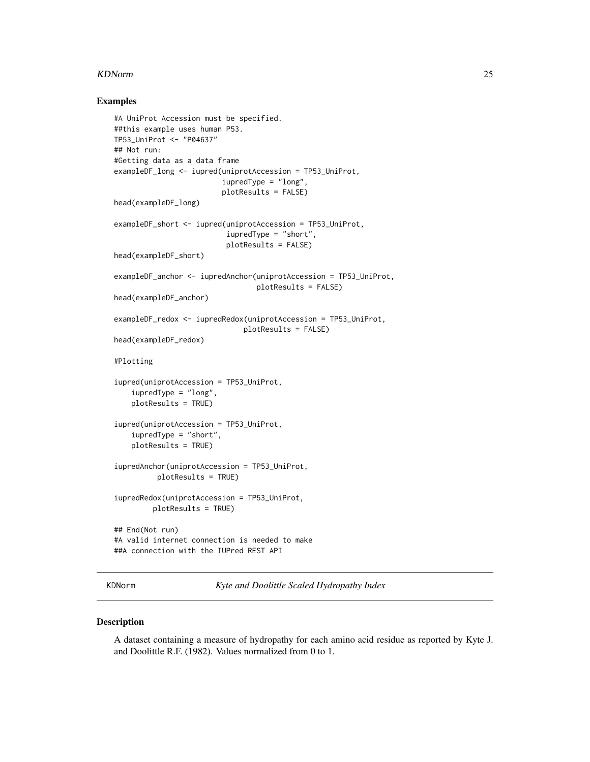#### <span id="page-24-0"></span>KDNorm 25

#### Examples

```
#A UniProt Accession must be specified.
##this example uses human P53.
TP53_UniProt <- "P04637"
## Not run:
#Getting data as a data frame
exampleDF_long <- iupred(uniprotAccession = TP53_UniProt,
                         iupredType = "long",
                         plotResults = FALSE)
head(exampleDF_long)
exampleDF_short <- iupred(uniprotAccession = TP53_UniProt,
                          iupredType = "short",
                          plotResults = FALSE)
head(exampleDF_short)
exampleDF_anchor <- iupredAnchor(uniprotAccession = TP53_UniProt,
                                 plotResults = FALSE)
head(exampleDF_anchor)
exampleDF_redox <- iupredRedox(uniprotAccession = TP53_UniProt,
                              plotResults = FALSE)
head(exampleDF_redox)
#Plotting
iupred(uniprotAccession = TP53_UniProt,
    iupredType = "long",
    plotResults = TRUE)
iupred(uniprotAccession = TP53_UniProt,
    iupredType = "short",
    plotResults = TRUE)
iupredAnchor(uniprotAccession = TP53_UniProt,
          plotResults = TRUE)
iupredRedox(uniprotAccession = TP53_UniProt,
         plotResults = TRUE)
## End(Not run)
#A valid internet connection is needed to make
##A connection with the IUPred REST API
```
KDNorm *Kyte and Doolittle Scaled Hydropathy Index*

#### Description

A dataset containing a measure of hydropathy for each amino acid residue as reported by Kyte J. and Doolittle R.F. (1982). Values normalized from 0 to 1.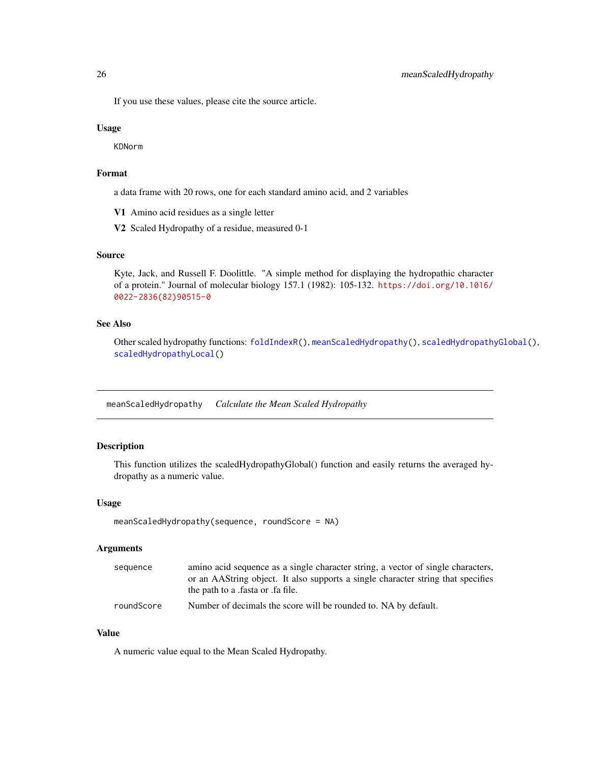# <span id="page-25-0"></span>26 meanScaledHydropathy

If you use these values, please cite the source article.

### Usage

KDNorm

# Format

a data frame with 20 rows, one for each standard amino acid, and 2 variables

V1 Amino acid residues as a single letter

V2 Scaled Hydropathy of a residue, measured 0-1

# Source

Kyte, Jack, and Russell F. Doolittle. "A simple method for displaying the hydropathic character of a protein." Journal of molecular biology 157.1 (1982): 105-132. [https://doi.org/10.1016/](https://doi.org/10.1016/0022-2836(82)90515-0) [0022-2836\(82\)90515-0](https://doi.org/10.1016/0022-2836(82)90515-0)

# See Also

Other scaled hydropathy functions: [foldIndexR\(](#page-14-1)), [meanScaledHydropathy\(](#page-25-1)), [scaledHydropathyGlobal\(](#page-30-1)), [scaledHydropathyLocal\(](#page-32-1))

<span id="page-25-1"></span>meanScaledHydropathy *Calculate the Mean Scaled Hydropathy*

#### Description

This function utilizes the scaledHydropathyGlobal() function and easily returns the averaged hydropathy as a numeric value.

#### Usage

```
meanScaledHydropathy(sequence, roundScore = NA)
```
#### Arguments

| sequence   | amino acid sequence as a single character string, a vector of single characters, |
|------------|----------------------------------------------------------------------------------|
|            | or an AAString object. It also supports a single character string that specifies |
|            | the path to a fasta or fa file.                                                  |
| roundScore | Number of decimals the score will be rounded to. NA by default.                  |

#### Value

A numeric value equal to the Mean Scaled Hydropathy.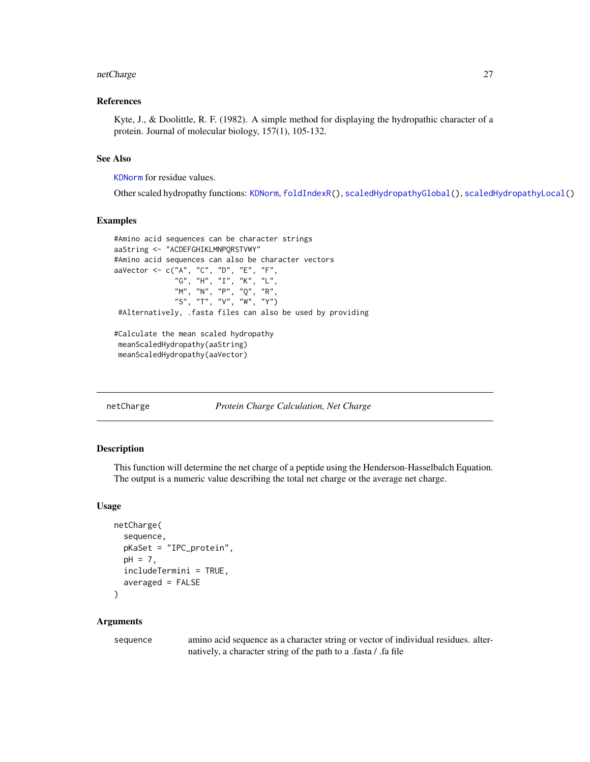#### <span id="page-26-0"></span>netCharge 27

#### References

Kyte, J., & Doolittle, R. F. (1982). A simple method for displaying the hydropathic character of a protein. Journal of molecular biology, 157(1), 105-132.

# See Also

[KDNorm](#page-24-1) for residue values.

Other scaled hydropathy functions: [KDNorm](#page-24-1), [foldIndexR\(](#page-14-1)), [scaledHydropathyGlobal\(](#page-30-1)), [scaledHydropathyLocal\(](#page-32-1))

### Examples

```
#Amino acid sequences can be character strings
aaString <- "ACDEFGHIKLMNPQRSTVWY"
#Amino acid sequences can also be character vectors
aaVector <- c("A", "C", "D", "E", "F",
              ^{\prime\prime}G", "H", "I", "K", "L",
               "M", "N", "P", "Q", "R",
               "S", "T", "V", "W", "Y")
 #Alternatively, .fasta files can also be used by providing
#Calculate the mean scaled hydropathy
meanScaledHydropathy(aaString)
meanScaledHydropathy(aaVector)
```
<span id="page-26-1"></span>netCharge *Protein Charge Calculation, Net Charge*

#### Description

This function will determine the net charge of a peptide using the Henderson-Hasselbalch Equation. The output is a numeric value describing the total net charge or the average net charge.

#### Usage

```
netCharge(
  sequence,
  pKaSet = "IPC_protein",
  pH = 7,
  includeTermini = TRUE,
  averaged = FALSE
)
```
## Arguments

sequence amino acid sequence as a character string or vector of individual residues. alternatively, a character string of the path to a .fasta / .fa file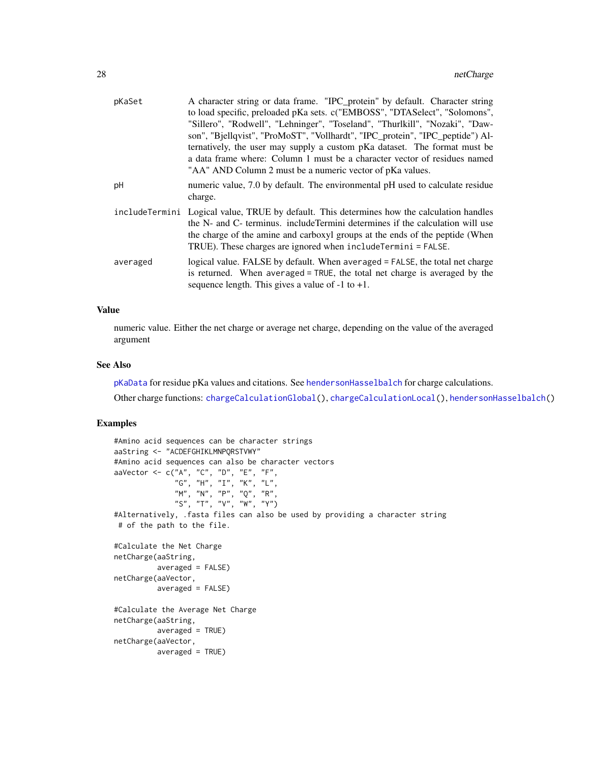<span id="page-27-0"></span>

| pKaSet   | A character string or data frame. "IPC_protein" by default. Character string<br>to load specific, preloaded pKa sets. c("EMBOSS", "DTASelect", "Solomons",<br>"Sillero", "Rodwell", "Lehninger", "Toseland", "Thurlkill", "Nozaki", "Daw-<br>son", "Bjellqvist", "ProMoST", "Vollhardt", "IPC_protein", "IPC_peptide") Al-<br>ternatively, the user may supply a custom pKa dataset. The format must be<br>a data frame where: Column 1 must be a character vector of residues named<br>"AA" AND Column 2 must be a numeric vector of pKa values. |
|----------|---------------------------------------------------------------------------------------------------------------------------------------------------------------------------------------------------------------------------------------------------------------------------------------------------------------------------------------------------------------------------------------------------------------------------------------------------------------------------------------------------------------------------------------------------|
| pH       | numeric value, 7.0 by default. The environmental pH used to calculate residue<br>charge.                                                                                                                                                                                                                                                                                                                                                                                                                                                          |
|          | includeTermini Logical value, TRUE by default. This determines how the calculation handles<br>the N- and C- terminus. include Termini determines if the calculation will use<br>the charge of the amine and carboxyl groups at the ends of the peptide (When<br>TRUE). These charges are ignored when includeTermini = FALSE.                                                                                                                                                                                                                     |
| averaged | logical value. FALSE by default. When averaged = FALSE, the total net charge<br>is returned. When averaged = TRUE, the total net charge is averaged by the<br>sequence length. This gives a value of $-1$ to $+1$ .                                                                                                                                                                                                                                                                                                                               |

#### Value

numeric value. Either the net charge or average net charge, depending on the value of the averaged argument

# See Also

[pKaData](#page-28-1) for residue pKa values and citations. See [hendersonHasselbalch](#page-16-1) for charge calculations.

Other charge functions: [chargeCalculationGlobal\(](#page-1-1)), [chargeCalculationLocal\(](#page-4-1)), [hendersonHasselbalch\(](#page-16-1))

# Examples

```
#Amino acid sequences can be character strings
aaString <- "ACDEFGHIKLMNPQRSTVWY"
#Amino acid sequences can also be character vectors
aaVector <- c("A", "C", "D", "E", "F",
              "G", "H", "I", "K", "L",
              "M", "N", "P", "Q", "R",
              "S", "T", "V", "W", "Y")
#Alternatively, .fasta files can also be used by providing a character string
# of the path to the file.
#Calculate the Net Charge
netCharge(aaString,
          averaged = FALSE)
netCharge(aaVector,
          averaged = FALSE)
#Calculate the Average Net Charge
netCharge(aaString,
          averaged = TRUE)
netCharge(aaVector,
          averaged = TRUE)
```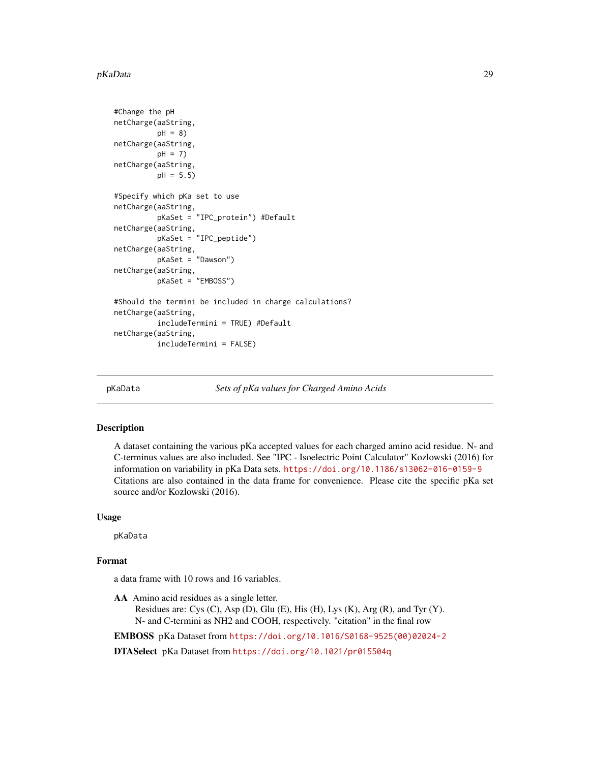#### <span id="page-28-0"></span>pKaData 29

```
#Change the pH
netCharge(aaString,
         pH = 8)
netCharge(aaString,
         pH = 7netCharge(aaString,
         pH = 5.5)
#Specify which pKa set to use
netCharge(aaString,
          pKaSet = "IPC_protein") #Default
netCharge(aaString,
          pKaSet = "IPC_peptide")
netCharge(aaString,
         pKaSet = "Dawson")
netCharge(aaString,
         pKaSet = "EMBOSS")
#Should the termini be included in charge calculations?
netCharge(aaString,
          includeTermini = TRUE) #Default
netCharge(aaString,
          includeTermini = FALSE)
```
<span id="page-28-1"></span>

pKaData *Sets of pKa values for Charged Amino Acids*

#### Description

A dataset containing the various pKa accepted values for each charged amino acid residue. N- and C-terminus values are also included. See "IPC - Isoelectric Point Calculator" Kozlowski (2016) for information on variability in pKa Data sets. <https://doi.org/10.1186/s13062-016-0159-9> Citations are also contained in the data frame for convenience. Please cite the specific pKa set source and/or Kozlowski (2016).

#### Usage

pKaData

#### Format

a data frame with 10 rows and 16 variables.

AA Amino acid residues as a single letter. Residues are: Cys  $(C)$ , Asp  $(D)$ , Glu  $(E)$ , His  $(H)$ , Lys  $(K)$ , Arg  $(R)$ , and Tyr  $(Y)$ . N- and C-termini as NH2 and COOH, respectively. "citation" in the final row

EMBOSS pKa Dataset from [https://doi.org/10.1016/S0168-9525\(00\)02024-2](https://doi.org/10.1016/S0168-9525(00)02024-2)

DTASelect pKa Dataset from <https://doi.org/10.1021/pr015504q>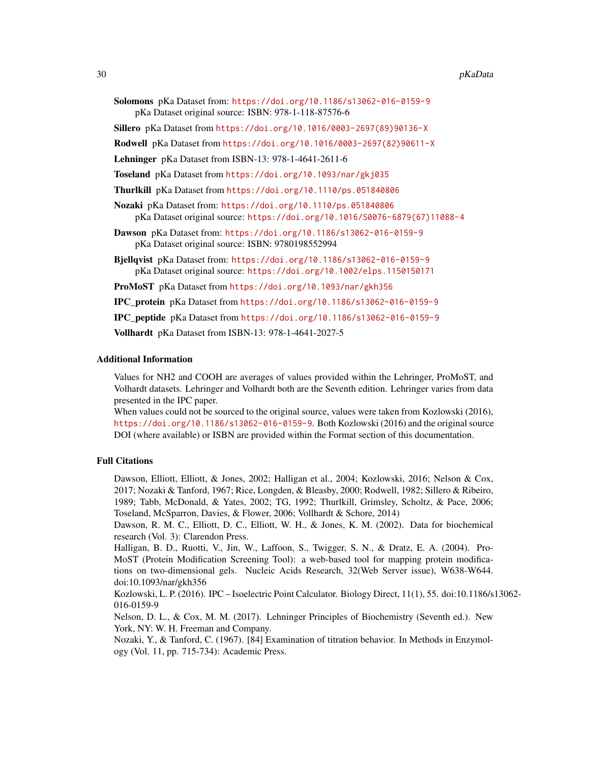| Solomons pKa Dataset from: https://doi.org/10.1186/s13062-016-0159-9 |
|----------------------------------------------------------------------|
| pKa Dataset original source: ISBN: 978-1-118-87576-6                 |

Sillero pKa Dataset from [https://doi.org/10.1016/0003-2697\(89\)90136-X](https://doi.org/10.1016/0003-2697(89)90136-X)

Rodwell pKa Dataset from [https://doi.org/10.1016/0003-2697\(82\)90611-X](https://doi.org/10.1016/0003-2697(82)90611-X)

Lehninger pKa Dataset from ISBN-13: 978-1-4641-2611-6

Toseland pKa Dataset from <https://doi.org/10.1093/nar/gkj035>

Thurlkill pKa Dataset from <https://doi.org/10.1110/ps.051840806>

Nozaki pKa Dataset from: <https://doi.org/10.1110/ps.051840806> pKa Dataset original source: [https://doi.org/10.1016/S0076-6879\(67\)11088-4](https://doi.org/10.1016/S0076-6879(67)11088-4)

Dawson pKa Dataset from: <https://doi.org/10.1186/s13062-016-0159-9> pKa Dataset original source: ISBN: 9780198552994

Bjellqvist pKa Dataset from: <https://doi.org/10.1186/s13062-016-0159-9> pKa Dataset original source: <https://doi.org/10.1002/elps.1150150171>

ProMoST pKa Dataset from <https://doi.org/10.1093/nar/gkh356>

IPC\_protein pKa Dataset from <https://doi.org/10.1186/s13062-016-0159-9>

IPC\_peptide pKa Dataset from <https://doi.org/10.1186/s13062-016-0159-9>

Vollhardt pKa Dataset from ISBN-13: 978-1-4641-2027-5

# Additional Information

Values for NH2 and COOH are averages of values provided within the Lehringer, ProMoST, and Volhardt datasets. Lehringer and Volhardt both are the Seventh edition. Lehringer varies from data presented in the IPC paper.

When values could not be sourced to the original source, values were taken from Kozlowski (2016), <https://doi.org/10.1186/s13062-016-0159-9>. Both Kozlowski (2016) and the original source DOI (where available) or ISBN are provided within the Format section of this documentation.

# Full Citations

Dawson, Elliott, Elliott, & Jones, 2002; Halligan et al., 2004; Kozlowski, 2016; Nelson & Cox, 2017; Nozaki & Tanford, 1967; Rice, Longden, & Bleasby, 2000; Rodwell, 1982; Sillero & Ribeiro, 1989; Tabb, McDonald, & Yates, 2002; TG, 1992; Thurlkill, Grimsley, Scholtz, & Pace, 2006; Toseland, McSparron, Davies, & Flower, 2006; Vollhardt & Schore, 2014)

Dawson, R. M. C., Elliott, D. C., Elliott, W. H., & Jones, K. M. (2002). Data for biochemical research (Vol. 3): Clarendon Press.

Halligan, B. D., Ruotti, V., Jin, W., Laffoon, S., Twigger, S. N., & Dratz, E. A. (2004). Pro-MoST (Protein Modification Screening Tool): a web-based tool for mapping protein modifications on two-dimensional gels. Nucleic Acids Research, 32(Web Server issue), W638-W644. doi:10.1093/nar/gkh356

Kozlowski, L. P. (2016). IPC – Isoelectric Point Calculator. Biology Direct, 11(1), 55. doi:10.1186/s13062- 016-0159-9

Nelson, D. L., & Cox, M. M. (2017). Lehninger Principles of Biochemistry (Seventh ed.). New York, NY: W. H. Freeman and Company.

Nozaki, Y., & Tanford, C. (1967). [84] Examination of titration behavior. In Methods in Enzymology (Vol. 11, pp. 715-734): Academic Press.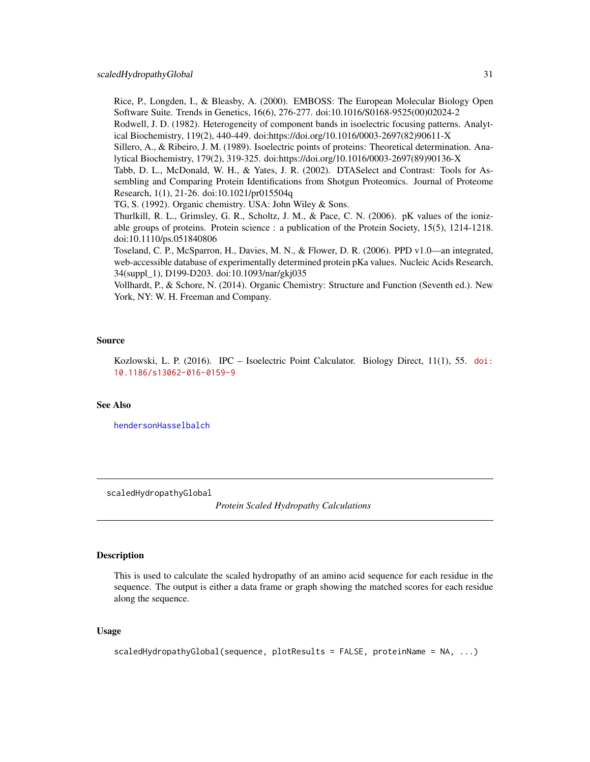<span id="page-30-0"></span>Rice, P., Longden, I., & Bleasby, A. (2000). EMBOSS: The European Molecular Biology Open Software Suite. Trends in Genetics, 16(6), 276-277. doi:10.1016/S0168-9525(00)02024-2

Rodwell, J. D. (1982). Heterogeneity of component bands in isoelectric focusing patterns. Analytical Biochemistry, 119(2), 440-449. doi:https://doi.org/10.1016/0003-2697(82)90611-X

Sillero, A., & Ribeiro, J. M. (1989). Isoelectric points of proteins: Theoretical determination. Analytical Biochemistry, 179(2), 319-325. doi:https://doi.org/10.1016/0003-2697(89)90136-X

Tabb, D. L., McDonald, W. H., & Yates, J. R. (2002). DTASelect and Contrast: Tools for Assembling and Comparing Protein Identifications from Shotgun Proteomics. Journal of Proteome Research, 1(1), 21-26. doi:10.1021/pr015504q

TG, S. (1992). Organic chemistry. USA: John Wiley & Sons.

Thurlkill, R. L., Grimsley, G. R., Scholtz, J. M., & Pace, C. N. (2006). pK values of the ionizable groups of proteins. Protein science : a publication of the Protein Society, 15(5), 1214-1218. doi:10.1110/ps.051840806

Toseland, C. P., McSparron, H., Davies, M. N., & Flower, D. R. (2006). PPD v1.0—an integrated, web-accessible database of experimentally determined protein pKa values. Nucleic Acids Research, 34(suppl\_1), D199-D203. doi:10.1093/nar/gkj035

Vollhardt, P., & Schore, N. (2014). Organic Chemistry: Structure and Function (Seventh ed.). New York, NY: W. H. Freeman and Company.

#### Source

Kozlowski, L. P. (2016). IPC – Isoelectric Point Calculator. Biology Direct, 11(1), 55. [doi:](doi:10.1186/s13062-016-0159-9) [10.1186/s13062-016-0159-9](doi:10.1186/s13062-016-0159-9)

#### See Also

[hendersonHasselbalch](#page-16-1)

<span id="page-30-1"></span>scaledHydropathyGlobal

*Protein Scaled Hydropathy Calculations*

#### Description

This is used to calculate the scaled hydropathy of an amino acid sequence for each residue in the sequence. The output is either a data frame or graph showing the matched scores for each residue along the sequence.

#### Usage

```
scaledHydropathyGlobal(sequence, plotResults = FALSE, proteinName = NA, ...)
```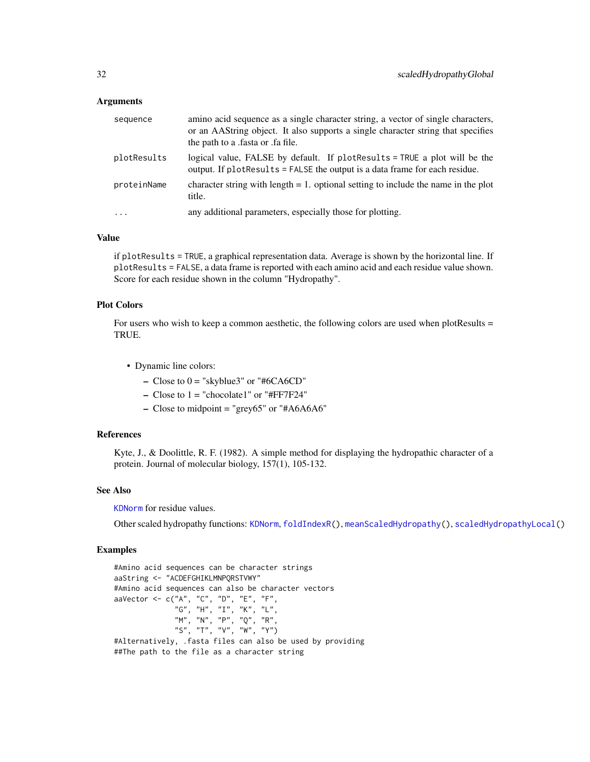#### <span id="page-31-0"></span>Arguments

| sequence    | amino acid sequence as a single character string, a vector of single characters,<br>or an AAString object. It also supports a single character string that specifies<br>the path to a fasta or fa file. |
|-------------|---------------------------------------------------------------------------------------------------------------------------------------------------------------------------------------------------------|
| plotResults | logical value, FALSE by default. If plot Results = TRUE a plot will be the<br>output. If plot Results = FALSE the output is a data frame for each residue.                                              |
| proteinName | character string with length $= 1$ . optional setting to include the name in the plot<br>title.                                                                                                         |
| $\ddots$    | any additional parameters, especially those for plotting.                                                                                                                                               |

# Value

if plotResults = TRUE, a graphical representation data. Average is shown by the horizontal line. If plotResults = FALSE, a data frame is reported with each amino acid and each residue value shown. Score for each residue shown in the column "Hydropathy".

#### Plot Colors

For users who wish to keep a common aesthetic, the following colors are used when plotResults = TRUE.

- Dynamic line colors:
	- Close to  $0 =$  "skyblue3" or "#6CA6CD"
	- Close to 1 = "chocolate1" or "#FF7F24"
	- Close to midpoint = "grey65" or "#A6A6A6"

#### References

Kyte, J., & Doolittle, R. F. (1982). A simple method for displaying the hydropathic character of a protein. Journal of molecular biology, 157(1), 105-132.

#### See Also

[KDNorm](#page-24-1) for residue values.

Other scaled hydropathy functions: [KDNorm](#page-24-1), [foldIndexR\(](#page-14-1)), [meanScaledHydropathy\(](#page-25-1)), [scaledHydropathyLocal\(](#page-32-1))

#### Examples

#Amino acid sequences can be character strings aaString <- "ACDEFGHIKLMNPQRSTVWY" #Amino acid sequences can also be character vectors aaVector <- c("A", "C", "D", "E", "F", "G", "H", "I", "K", "L", "M", "N", "P", "Q", "R", "S", "T", "V", "W", "Y") #Alternatively, .fasta files can also be used by providing ##The path to the file as a character string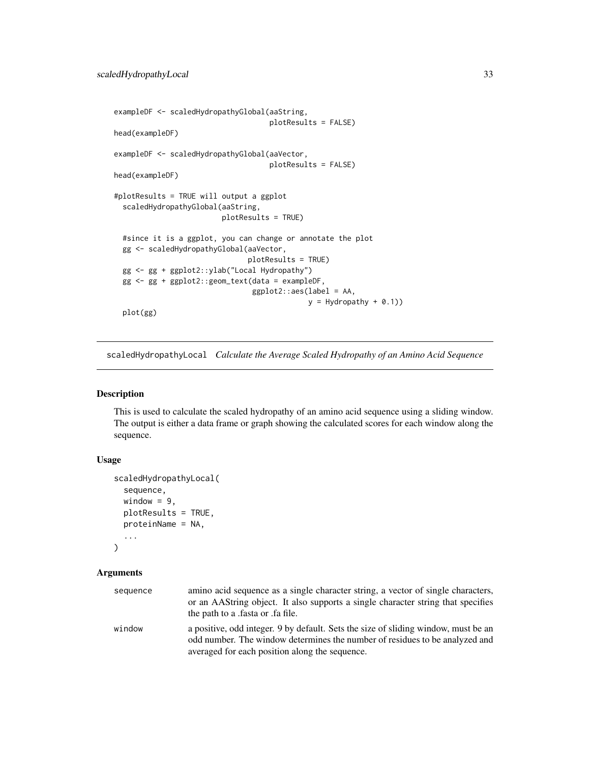```
exampleDF <- scaledHydropathyGlobal(aaString,
                                    plotResults = FALSE)
head(exampleDF)
exampleDF <- scaledHydropathyGlobal(aaVector,
                                    plotResults = FALSE)
head(exampleDF)
#plotResults = TRUE will output a ggplot
 scaledHydropathyGlobal(aaString,
                        plotResults = TRUE)
 #since it is a ggplot, you can change or annotate the plot
 gg <- scaledHydropathyGlobal(aaVector,
                              plotResults = TRUE)
 gg <- gg + ggplot2::ylab("Local Hydropathy")
 gg <- gg + ggplot2::geom_text(data = exampleDF,
                                ggplot2::aes(label = AA,
                                             y = Hydropathy + 0.1)plot(gg)
```
<span id="page-32-1"></span>scaledHydropathyLocal *Calculate the Average Scaled Hydropathy of an Amino Acid Sequence*

#### Description

This is used to calculate the scaled hydropathy of an amino acid sequence using a sliding window. The output is either a data frame or graph showing the calculated scores for each window along the sequence.

# Usage

```
scaledHydropathyLocal(
  sequence,
  window = 9,
  plotResults = TRUE,
  proteinName = NA,
  ...
)
```
### Arguments

| sequence | amino acid sequence as a single character string, a vector of single characters,<br>or an AAString object. It also supports a single character string that specifies<br>the path to a fasta or fa file.             |
|----------|---------------------------------------------------------------------------------------------------------------------------------------------------------------------------------------------------------------------|
| window   | a positive, odd integer. 9 by default. Sets the size of sliding window, must be an<br>odd number. The window determines the number of residues to be analyzed and<br>averaged for each position along the sequence. |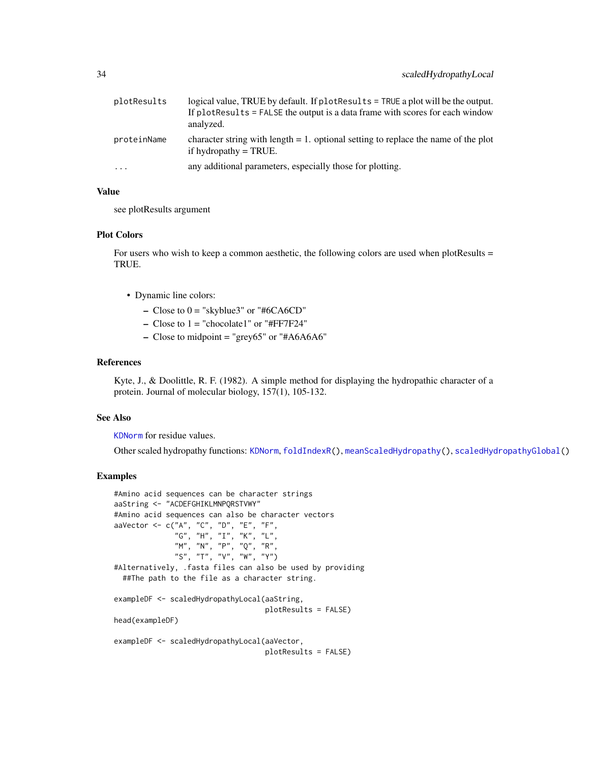<span id="page-33-0"></span>

| plotResults | logical value, TRUE by default. If plot Results = TRUE a plot will be the output.<br>If plot Results = FALSE the output is a data frame with scores for each window<br>analyzed. |
|-------------|----------------------------------------------------------------------------------------------------------------------------------------------------------------------------------|
| proteinName | character string with length $= 1$ . optional setting to replace the name of the plot<br>if hydropathy $=$ TRUE.                                                                 |
| .           | any additional parameters, especially those for plotting.                                                                                                                        |

# Value

see plotResults argument

## Plot Colors

For users who wish to keep a common aesthetic, the following colors are used when plotResults = TRUE.

- Dynamic line colors:
	- Close to  $0 =$  "skyblue3" or "#6CA6CD"
	- $-$  Close to  $1 =$  "chocolate1" or "#FF7F24"
	- Close to midpoint = "grey65" or "#A6A6A6"

#### References

Kyte, J., & Doolittle, R. F. (1982). A simple method for displaying the hydropathic character of a protein. Journal of molecular biology, 157(1), 105-132.

### See Also

[KDNorm](#page-24-1) for residue values.

Other scaled hydropathy functions: [KDNorm](#page-24-1), [foldIndexR\(](#page-14-1)), [meanScaledHydropathy\(](#page-25-1)), [scaledHydropathyGlobal\(](#page-30-1))

#### Examples

```
#Amino acid sequences can be character strings
aaString <- "ACDEFGHIKLMNPQRSTVWY"
#Amino acid sequences can also be character vectors
aaVector <- c("A", "C", "D", "E", "F",
              "G", "H", "I", "K", "L",
             "M", "N", "P", "Q", "R",
              "S", "T", "V", "W", "Y")
#Alternatively, .fasta files can also be used by providing
 ##The path to the file as a character string.
exampleDF <- scaledHydropathyLocal(aaString,
                                   plotResults = FALSE)
head(exampleDF)
exampleDF <- scaledHydropathyLocal(aaVector,
                                   plotResults = FALSE)
```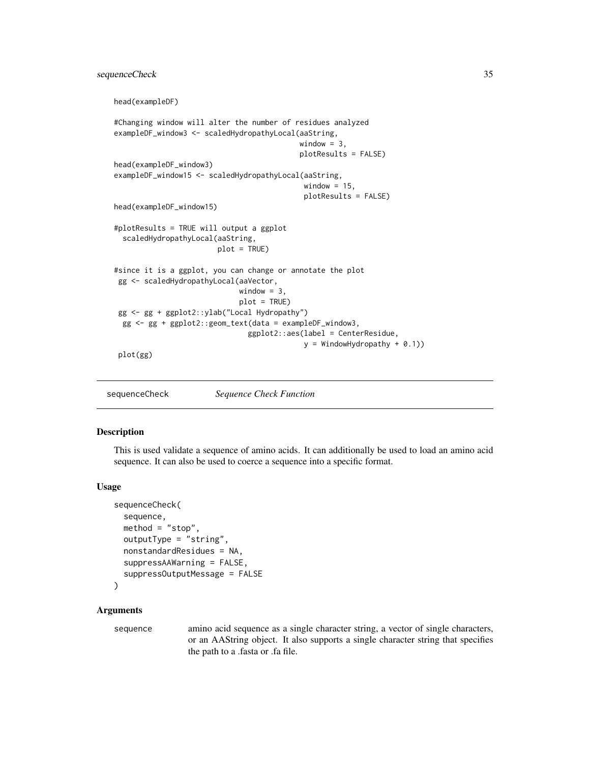```
head(exampleDF)
#Changing window will alter the number of residues analyzed
exampleDF_window3 <- scaledHydropathyLocal(aaString,
                                           window = 3,
                                           plotResults = FALSE)
head(exampleDF_window3)
exampleDF_window15 <- scaledHydropathyLocal(aaString,
                                            window = 15,
                                            plotResults = FALSE)
head(exampleDF_window15)
#plotResults = TRUE will output a ggplot
  scaledHydropathyLocal(aaString,
                        plot = TRUE)
#since it is a ggplot, you can change or annotate the plot
gg <- scaledHydropathyLocal(aaVector,
                             window = 3,
                             plot = TRUE)
 gg <- gg + ggplot2::ylab("Local Hydropathy")
 gg <- gg + ggplot2::geom_text(data = exampleDF_window3,
                               ggplot2::aes(label = CenterResidue,
                                            y = WindowHydropathy + 0.1))
 plot(gg)
```
sequenceCheck *Sequence Check Function*

# Description

This is used validate a sequence of amino acids. It can additionally be used to load an amino acid sequence. It can also be used to coerce a sequence into a specific format.

#### Usage

```
sequenceCheck(
  sequence,
  method = "stop",outputType = "string",
  nonstandardResidues = NA,
  suppressAAWarning = FALSE,
  suppressOutputMessage = FALSE
)
```
#### Arguments

sequence amino acid sequence as a single character string, a vector of single characters, or an AAString object. It also supports a single character string that specifies the path to a .fasta or .fa file.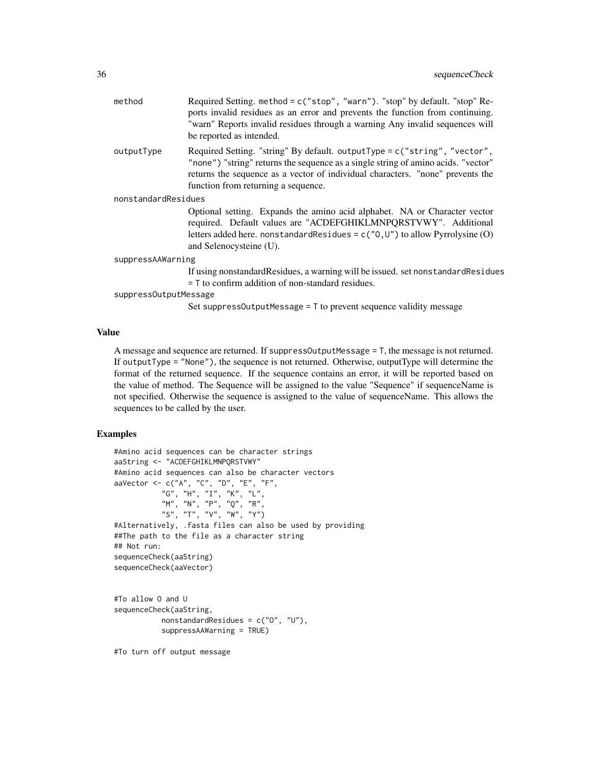| method                | Required Setting. method = c("stop", "warn"). "stop" by default. "stop" Re-<br>ports invalid residues as an error and prevents the function from continuing.<br>"warn" Reports invalid residues through a warning Any invalid sequences will<br>be reported as intended.                   |
|-----------------------|--------------------------------------------------------------------------------------------------------------------------------------------------------------------------------------------------------------------------------------------------------------------------------------------|
| outputType            | Required Setting. "string" By default. outputType = $c$ ("string", "vector",<br>"none") "string" returns the sequence as a single string of amino acids. "vector"<br>returns the sequence as a vector of individual characters. "none" prevents the<br>function from returning a sequence. |
| nonstandardResidues   |                                                                                                                                                                                                                                                                                            |
|                       | Optional setting. Expands the amino acid alphabet. NA or Character vector<br>required. Default values are "ACDEFGHIKLMNPQRSTVWY". Additional<br>letters added here. nonstandard Residues = $c("0, U")$ to allow Pyrrolysine (O)<br>and Selenocysteine (U).                                 |
| suppressAAWarning     |                                                                                                                                                                                                                                                                                            |
|                       | If using nonstandard Residues, a warning will be issued. set nonstandard Residues<br>= T to confirm addition of non-standard residues.                                                                                                                                                     |
| suppressOutputMessage |                                                                                                                                                                                                                                                                                            |
|                       | Set suppress0utputMessage = T to prevent sequence validity message                                                                                                                                                                                                                         |

# Value

A message and sequence are returned. If suppressOutputMessage = T, the message is not returned. If outputType = "None"), the sequence is not returned. Otherwise, outputType will determine the format of the returned sequence. If the sequence contains an error, it will be reported based on the value of method. The Sequence will be assigned to the value "Sequence" if sequenceName is not specified. Otherwise the sequence is assigned to the value of sequenceName. This allows the sequences to be called by the user.

# Examples

```
#Amino acid sequences can be character strings
aaString <- "ACDEFGHIKLMNPQRSTVWY"
#Amino acid sequences can also be character vectors
aaVector <- c("A", "C", "D", "E", "F",
           "G", "H", "I", "K", "L",
           "M", "N", "P", "Q", "R",
           "S", "T", "V", "W", "Y")
#Alternatively, .fasta files can also be used by providing
##The path to the file as a character string
## Not run:
sequenceCheck(aaString)
sequenceCheck(aaVector)
#To allow O and U
sequenceCheck(aaString,
          nonstandardResidues = c("O", "U"),
           suppressAAWarning = TRUE)
```
#To turn off output message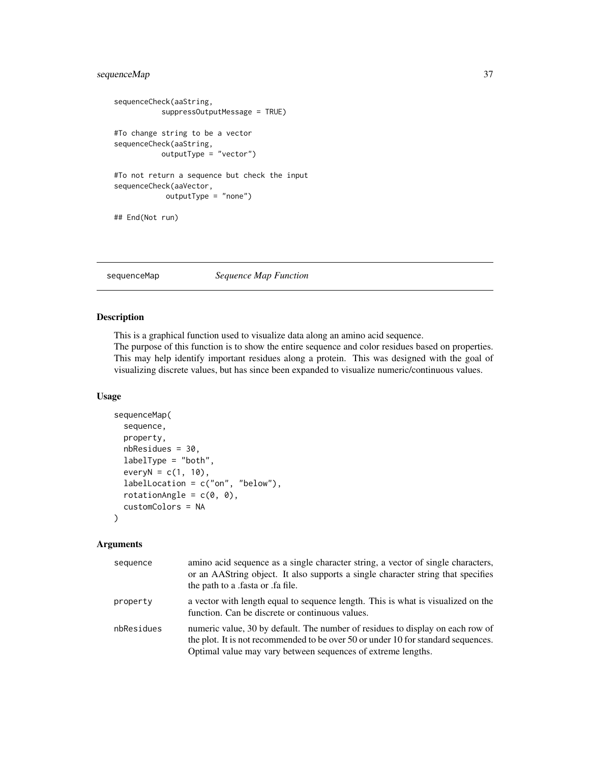# <span id="page-36-0"></span>sequenceMap 37

```
sequenceCheck(aaString,
           suppressOutputMessage = TRUE)
#To change string to be a vector
sequenceCheck(aaString,
          outputType = "vector")
#To not return a sequence but check the input
sequenceCheck(aaVector,
            outputType = "none")
## End(Not run)
```
<span id="page-36-1"></span>sequenceMap *Sequence Map Function*

# Description

This is a graphical function used to visualize data along an amino acid sequence.

The purpose of this function is to show the entire sequence and color residues based on properties. This may help identify important residues along a protein. This was designed with the goal of visualizing discrete values, but has since been expanded to visualize numeric/continuous values.

## Usage

```
sequenceMap(
  sequence,
 property,
  nbResidues = 30,
 labelType = "both",
  everyN = c(1, 10),labelLocation = c("on", "below"),rotationAngle = c(\theta, \theta),
  customColors = NA
)
```
# Arguments

| sequence   | amino acid sequence as a single character string, a vector of single characters,<br>or an AAString object. It also supports a single character string that specifies<br>the path to a fasta or fa file.                             |
|------------|-------------------------------------------------------------------------------------------------------------------------------------------------------------------------------------------------------------------------------------|
| property   | a vector with length equal to sequence length. This is what is visualized on the<br>function. Can be discrete or continuous values.                                                                                                 |
| nbResidues | numeric value, 30 by default. The number of residues to display on each row of<br>the plot. It is not recommended to be over 50 or under 10 for standard sequences.<br>Optimal value may vary between sequences of extreme lengths. |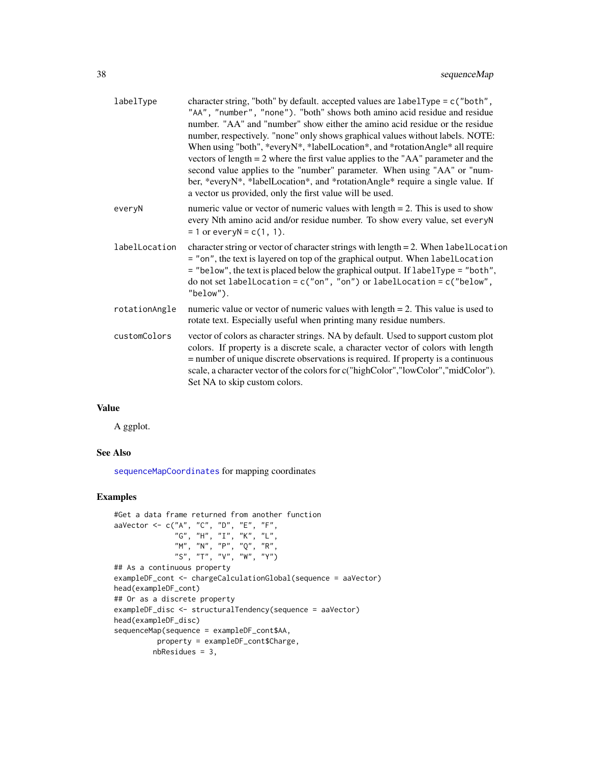<span id="page-37-0"></span>

| labelType     | character string, "both" by default. accepted values are $labeledType = c("both",$<br>"AA", "number", "none"). "both" shows both amino acid residue and residue<br>number. "AA" and "number" show either the amino acid residue or the residue<br>number, respectively. "none" only shows graphical values without labels. NOTE:<br>When using "both", *everyN*, *labelLocation*, and *rotationAngle* all require<br>vectors of length $= 2$ where the first value applies to the "AA" parameter and the<br>second value applies to the "number" parameter. When using "AA" or "num-<br>ber, *everyN*, *labelLocation*, and *rotationAngle* require a single value. If<br>a vector us provided, only the first value will be used. |
|---------------|------------------------------------------------------------------------------------------------------------------------------------------------------------------------------------------------------------------------------------------------------------------------------------------------------------------------------------------------------------------------------------------------------------------------------------------------------------------------------------------------------------------------------------------------------------------------------------------------------------------------------------------------------------------------------------------------------------------------------------|
| everyN        | numeric value or vector of numeric values with length $= 2$ . This is used to show<br>every Nth amino acid and/or residue number. To show every value, set everyN<br>$= 1$ or every $N = c(1, 1)$ .                                                                                                                                                                                                                                                                                                                                                                                                                                                                                                                                |
| labelLocation | character string or vector of character strings with length = 2. When labelLocation<br>= "on", the text is layered on top of the graphical output. When labelLocation<br>= "below", the text is placed below the graphical output. If labelly pe = "both",<br>do not set labelLocation = $c("on", "on")$ or labelLocation = $c("below",$<br>"below").                                                                                                                                                                                                                                                                                                                                                                              |
| rotationAngle | numeric value or vector of numeric values with length $= 2$ . This value is used to<br>rotate text. Especially useful when printing many residue numbers.                                                                                                                                                                                                                                                                                                                                                                                                                                                                                                                                                                          |
| customColors  | vector of colors as character strings. NA by default. Used to support custom plot<br>colors. If property is a discrete scale, a character vector of colors with length<br>= number of unique discrete observations is required. If property is a continuous<br>scale, a character vector of the colors for c("highColor","lowColor","midColor").<br>Set NA to skip custom colors.                                                                                                                                                                                                                                                                                                                                                  |

# Value

A ggplot.

# See Also

[sequenceMapCoordinates](#page-39-1) for mapping coordinates

# Examples

```
#Get a data frame returned from another function
aaVector <- c("A", "C", "D", "E", "F",
              "G", "H", "I", "K", "L",
              "M", "N", "P", "Q", "R",
              "S", "T", "V", "W", "Y")
## As a continuous property
exampleDF_cont <- chargeCalculationGlobal(sequence = aaVector)
head(exampleDF_cont)
## Or as a discrete property
exampleDF_disc <- structuralTendency(sequence = aaVector)
head(exampleDF_disc)
sequenceMap(sequence = exampleDF_cont$AA,
         property = exampleDF_cont$Charge,
         nbResidues = 3,
```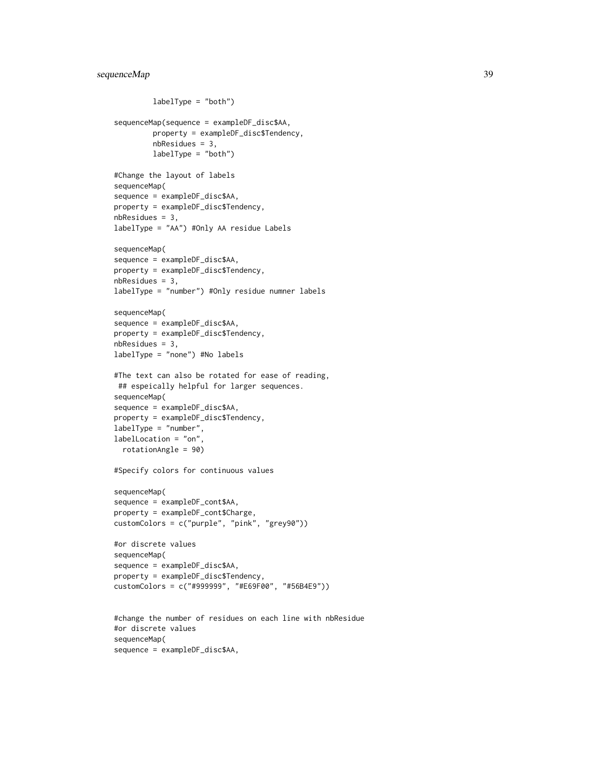# sequenceMap 39

```
labelType = "both")
sequenceMap(sequence = exampleDF_disc$AA,
         property = exampleDF_disc$Tendency,
         nbResidues = 3,
         labelType = "both")
#Change the layout of labels
sequenceMap(
sequence = exampleDF_disc$AA,
property = exampleDF_disc$Tendency,
nbResidues = 3,
labelType = "AA") #Only AA residue Labels
sequenceMap(
sequence = exampleDF_disc$AA,
property = exampleDF_disc$Tendency,
nbResidues = 3,
labelType = "number") #Only residue numner labels
sequenceMap(
sequence = exampleDF_disc$AA,
property = exampleDF_disc$Tendency,
nbResidues = 3,
labelType = "none") #No labels
#The text can also be rotated for ease of reading,
 ## espeically helpful for larger sequences.
sequenceMap(
sequence = exampleDF_disc$AA,
property = exampleDF_disc$Tendency,
labelType = "number",
labelLocation = "on",
  rotationAngle = 90)
#Specify colors for continuous values
sequenceMap(
sequence = exampleDF_cont$AA,
property = exampleDF_cont$Charge,
customColors = c("purple", "pink", "grey90"))
#or discrete values
sequenceMap(
sequence = exampleDF_disc$AA,
property = exampleDF_disc$Tendency,
customColors = c("#999999", "#E69F00", "#56B4E9"))
#change the number of residues on each line with nbResidue
```

```
#or discrete values
sequenceMap(
sequence = exampleDF_disc$AA,
```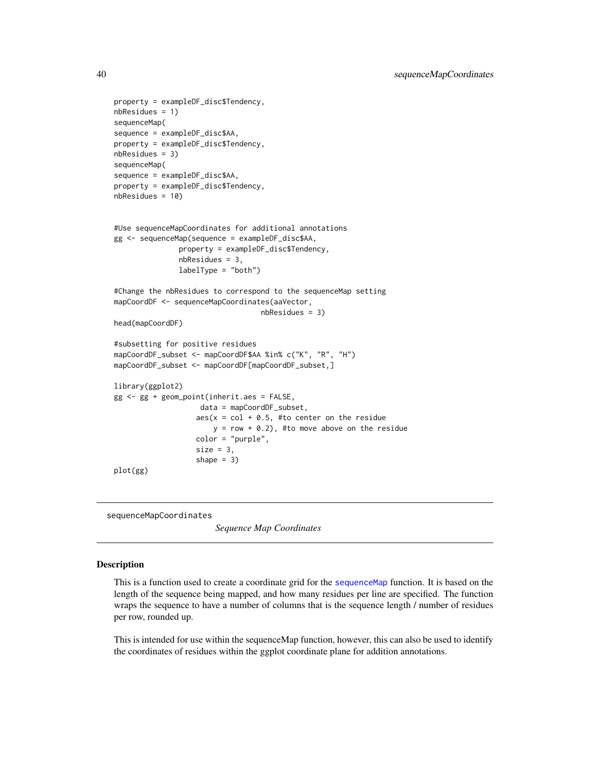```
property = exampleDF_disc$Tendency,
nbResidues = 1)
sequenceMap(
sequence = exampleDF_disc$AA,
property = exampleDF_disc$Tendency,
nbResidues = 3)
sequenceMap(
sequence = exampleDF_disc$AA,
property = exampleDF_disc$Tendency,
nbResidues = 10)
#Use sequenceMapCoordinates for additional annotations
gg <- sequenceMap(sequence = exampleDF_disc$AA,
               property = exampleDF_disc$Tendency,
               nbResidues = 3,
               labelType = "both")
#Change the nbResidues to correspond to the sequenceMap setting
mapCoordDF <- sequenceMapCoordinates(aaVector,
                                  nbResidues = 3)
head(mapCoordDF)
#subsetting for positive residues
mapCoordDF_subset <- mapCoordDF$AA %in% c("K", "R", "H")
mapCoordDF_subset <- mapCoordDF[mapCoordDF_subset,]
library(ggplot2)
gg <- gg + geom_point(inherit.aes = FALSE,
                   data = mapCoordDF_subset,
                   aes(x = col + 0.5, #to center on the residue)y = row + 0.2, #to move above on the residue
                   color = "purple",
                   size = 3,
                   shape = 3)
plot(gg)
```
<span id="page-39-1"></span>sequenceMapCoordinates

*Sequence Map Coordinates*

#### Description

This is a function used to create a coordinate grid for the [sequenceMap](#page-36-1) function. It is based on the length of the sequence being mapped, and how many residues per line are specified. The function wraps the sequence to have a number of columns that is the sequence length / number of residues per row, rounded up.

This is intended for use within the sequenceMap function, however, this can also be used to identify the coordinates of residues within the ggplot coordinate plane for addition annotations.

<span id="page-39-0"></span>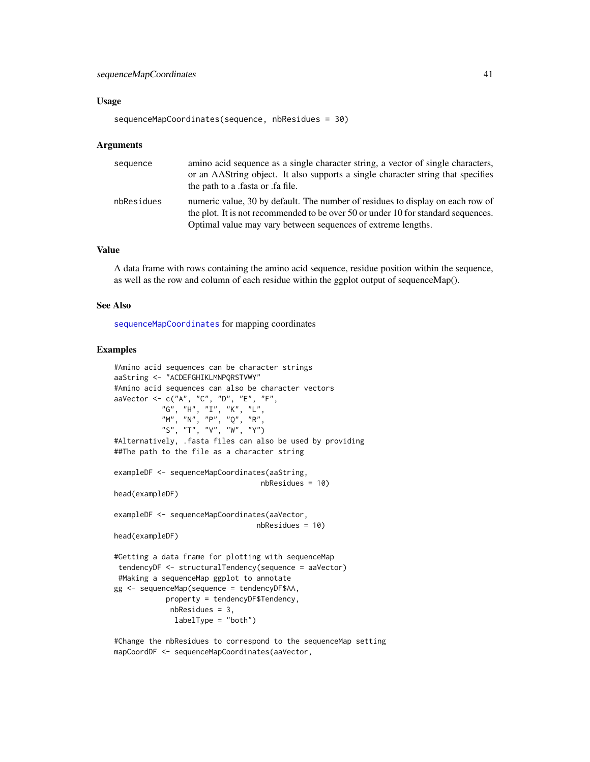#### <span id="page-40-0"></span>Usage

```
sequenceMapCoordinates(sequence, nbResidues = 30)
```
#### Arguments

| sequence   | amino acid sequence as a single character string, a vector of single characters,<br>or an AAString object. It also supports a single character string that specifies<br>the path to a fasta or fa file.                             |
|------------|-------------------------------------------------------------------------------------------------------------------------------------------------------------------------------------------------------------------------------------|
| nbResidues | numeric value, 30 by default. The number of residues to display on each row of<br>the plot. It is not recommended to be over 50 or under 10 for standard sequences.<br>Optimal value may vary between sequences of extreme lengths. |

# Value

A data frame with rows containing the amino acid sequence, residue position within the sequence, as well as the row and column of each residue within the ggplot output of sequenceMap().

#### See Also

[sequenceMapCoordinates](#page-39-1) for mapping coordinates

#### Examples

```
#Amino acid sequences can be character strings
aaString <- "ACDEFGHIKLMNPQRSTVWY"
#Amino acid sequences can also be character vectors
aaVector <- c("A", "C", "D", "E", "F",
          "G", "H", "I", "K", "L",
           "M", "N", "P", "Q", "R",
           "S", "T", "V", "W", "Y")
#Alternatively, .fasta files can also be used by providing
##The path to the file as a character string
exampleDF <- sequenceMapCoordinates(aaString,
                                  nbResidues = 10)
head(exampleDF)
exampleDF <- sequenceMapCoordinates(aaVector,
                                nbResidues = 10)
head(exampleDF)
#Getting a data frame for plotting with sequenceMap
tendencyDF <- structuralTendency(sequence = aaVector)
#Making a sequenceMap ggplot to annotate
gg <- sequenceMap(sequence = tendencyDF$AA,
            property = tendencyDF$Tendency,
            nbResidues = 3,
             labelType = "both")
```
#Change the nbResidues to correspond to the sequenceMap setting mapCoordDF <- sequenceMapCoordinates(aaVector,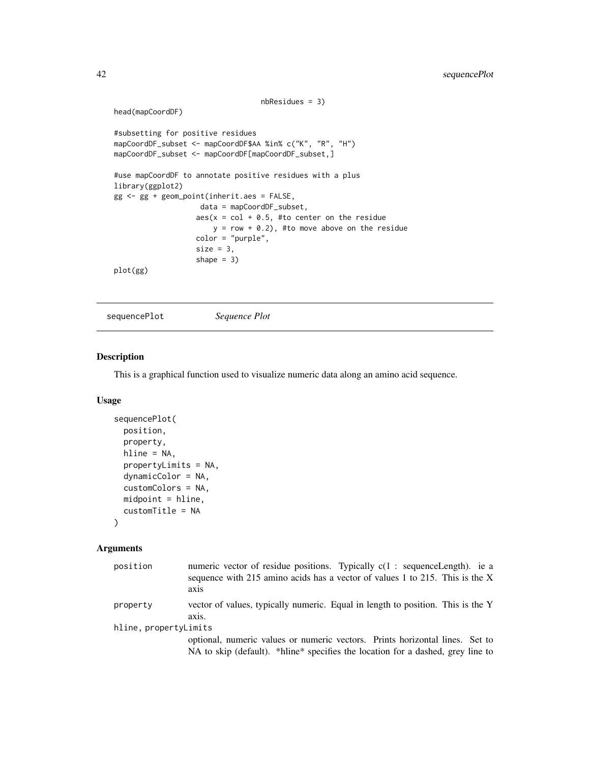```
head(mapCoordDF)
```

```
#subsetting for positive residues
mapCoordDF_subset <- mapCoordDF$AA %in% c("K", "R", "H")
mapCoordDF_subset <- mapCoordDF[mapCoordDF_subset,]
#use mapCoordDF to annotate positive residues with a plus
library(ggplot2)
gg <- gg + geom_point(inherit.aes = FALSE,
                   data = mapCoordDF_subset,
                   aes(x = col + 0.5, #to center on the residue)y = row + 0.2, #to move above on the residue
                   color = "purple",
                   size = 3,shape = 3)
plot(gg)
```
nbResidues = 3)

sequencePlot *Sequence Plot*

#### Description

This is a graphical function used to visualize numeric data along an amino acid sequence.

#### Usage

```
sequencePlot(
 position,
 property,
 hline = NA,
 propertyLimits = NA,
 dynamicColor = NA,
  customColors = NA,
 midpoint = hline,
  customTitle = NA
)
```
#### Arguments

| position              | numeric vector of residue positions. Typically $c(1 : sequenceLength)$ . ie a<br>sequence with 215 amino acids has a vector of values 1 to 215. This is the X<br>ax <sub>1</sub> s |
|-----------------------|------------------------------------------------------------------------------------------------------------------------------------------------------------------------------------|
| property              | vector of values, typically numeric. Equal in length to position. This is the Y<br>axis.                                                                                           |
| hline, propertyLimits |                                                                                                                                                                                    |
|                       | optional, numeric values or numeric vectors. Prints horizontal lines. Set to                                                                                                       |
|                       | NA to skip (default). *hline* specifies the location for a dashed, grey line to                                                                                                    |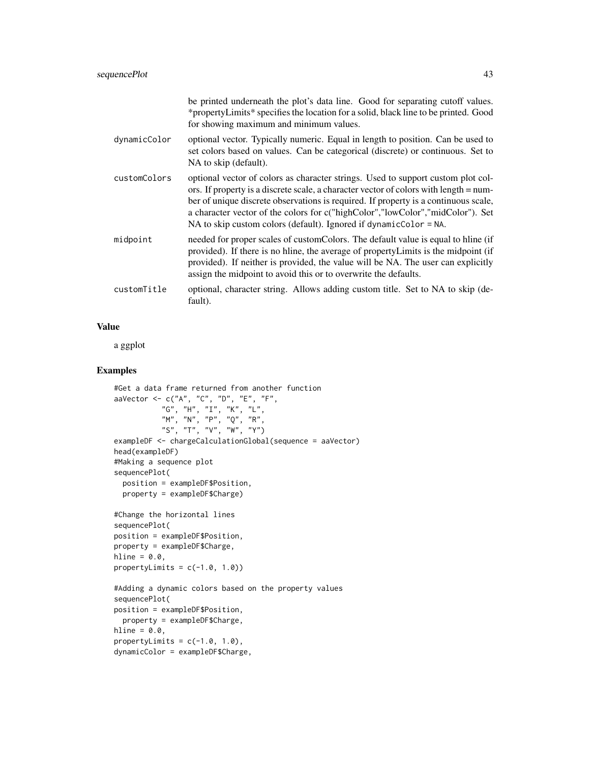|              | be printed underneath the plot's data line. Good for separating cutoff values.<br>*propertyLimits* specifies the location for a solid, black line to be printed. Good<br>for showing maximum and minimum values.                                                                                                                                                                                                        |
|--------------|-------------------------------------------------------------------------------------------------------------------------------------------------------------------------------------------------------------------------------------------------------------------------------------------------------------------------------------------------------------------------------------------------------------------------|
| dynamicColor | optional vector. Typically numeric. Equal in length to position. Can be used to<br>set colors based on values. Can be categorical (discrete) or continuous. Set to<br>NA to skip (default).                                                                                                                                                                                                                             |
| customColors | optional vector of colors as character strings. Used to support custom plot col-<br>ors. If property is a discrete scale, a character vector of colors with length = num-<br>ber of unique discrete observations is required. If property is a continuous scale,<br>a character vector of the colors for c("highColor","lowColor","midColor"). Set<br>NA to skip custom colors (default). Ignored if dynamicColor = NA. |
| midpoint     | needed for proper scales of custom Colors. The default value is equal to hline (if<br>provided). If there is no hline, the average of property Limits is the midpoint (if<br>provided). If neither is provided, the value will be NA. The user can explicitly<br>assign the midpoint to avoid this or to overwrite the defaults.                                                                                        |
| customTitle  | optional, character string. Allows adding custom title. Set to NA to skip (de-<br>fault).                                                                                                                                                                                                                                                                                                                               |

# Value

a ggplot

# Examples

```
#Get a data frame returned from another function
aaVector <- c("A", "C", "D", "E", "F",
           {}^{n}G^{n}, {}^{n}H^{n}, {}^{n}I^{n}, {}^{n}K^{n}, {}^{n}L^{n},
            "M", "N", "P", "Q", "R",
            "S", "T", "V", "W", "Y")
exampleDF <- chargeCalculationGlobal(sequence = aaVector)
head(exampleDF)
#Making a sequence plot
sequencePlot(
  position = exampleDF$Position,
  property = exampleDF$Charge)
#Change the horizontal lines
sequencePlot(
position = exampleDF$Position,
property = exampleDF$Charge,
hline = 0.0,
propertyLimits = c(-1.0, 1.0)#Adding a dynamic colors based on the property values
sequencePlot(
position = exampleDF$Position,
 property = exampleDF$Charge,
hline = 0.0,
propertyLimits = c(-1.0, 1.0),
dynamicColor = exampleDF$Charge,
```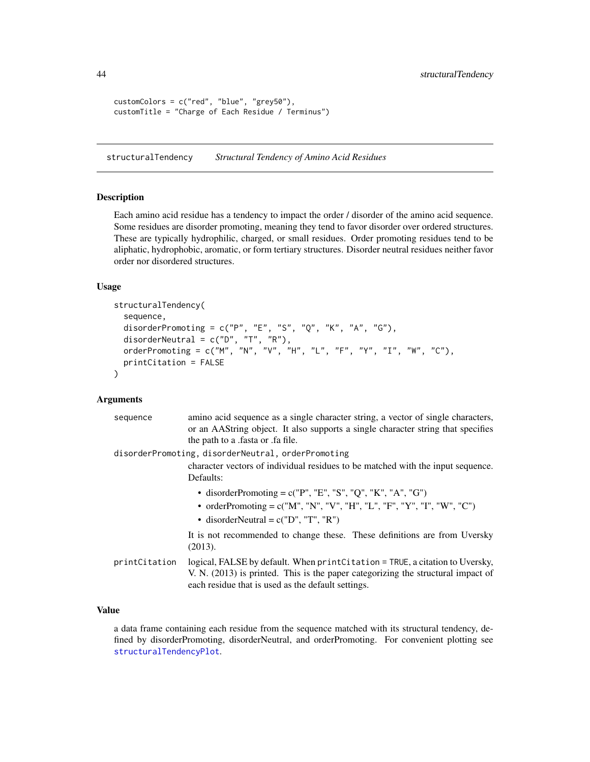```
customColors = c("red", "blue", "grey50"),
customTitle = "Charge of Each Residue / Terminus")
```
<span id="page-43-1"></span>structuralTendency *Structural Tendency of Amino Acid Residues*

#### Description

Each amino acid residue has a tendency to impact the order / disorder of the amino acid sequence. Some residues are disorder promoting, meaning they tend to favor disorder over ordered structures. These are typically hydrophilic, charged, or small residues. Order promoting residues tend to be aliphatic, hydrophobic, aromatic, or form tertiary structures. Disorder neutral residues neither favor order nor disordered structures.

#### Usage

```
structuralTendency(
  sequence,
  disorderPromoting = c("P", "E", "S", "Q", "K", "A", "G"),
  disorderNeutral = c("D", "T", "R"),
  orderPromoting = c("M", "N", "V", "H", "L", "F", "Y", "I", "W", "C"),
  printCitation = FALSE
)
```
#### Arguments

| sequence      | amino acid sequence as a single character string, a vector of single characters,<br>or an AAString object. It also supports a single character string that specifies<br>the path to a <i>fasta</i> or <i>fa file</i> .    |
|---------------|---------------------------------------------------------------------------------------------------------------------------------------------------------------------------------------------------------------------------|
|               | disorderPromoting, disorderNeutral, orderPromoting<br>character vectors of individual residues to be matched with the input sequence.<br>Defaults:                                                                        |
|               | • disorderPromoting = $c("P", "E", "S", "Q", "K", "A", "G")$<br>• orderPromoting = $c("M", "N", "V", "H", "L", "F", "Y", "I", "W", "C")$<br>• disorderNeutral = $c("D", "T", "R")$                                        |
|               | It is not recommended to change these. These definitions are from Uversky<br>(2013).                                                                                                                                      |
| printCitation | logical, FALSE by default. When $printCitation = TRUE$ , a citation to Uversky,<br>V. N. (2013) is printed. This is the paper categorizing the structural impact of<br>each residue that is used as the default settings. |

# Value

a data frame containing each residue from the sequence matched with its structural tendency, defined by disorderPromoting, disorderNeutral, and orderPromoting. For convenient plotting see [structuralTendencyPlot](#page-44-1).

<span id="page-43-0"></span>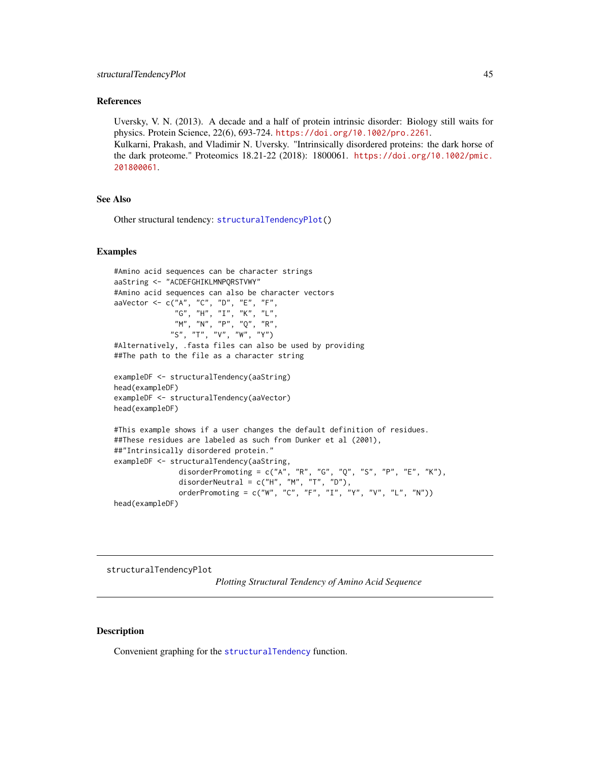#### <span id="page-44-0"></span>References

Uversky, V. N. (2013). A decade and a half of protein intrinsic disorder: Biology still waits for physics. Protein Science, 22(6), 693-724. <https://doi.org/10.1002/pro.2261>. Kulkarni, Prakash, and Vladimir N. Uversky. "Intrinsically disordered proteins: the dark horse of the dark proteome." Proteomics 18.21-22 (2018): 1800061. [https://doi.org/10.1002/pmic.](https://doi.org/10.1002/pmic.201800061) [201800061](https://doi.org/10.1002/pmic.201800061).

#### See Also

Other structural tendency: [structuralTendencyPlot\(](#page-44-1))

#### Examples

```
#Amino acid sequences can be character strings
aaString <- "ACDEFGHIKLMNPQRSTVWY"
#Amino acid sequences can also be character vectors
aaVector <- c("A", "C", "D", "E", "F",
              "G", "H", "I", "K", "L",
             "M", "N", "P", "Q", "R",
             "S", "T", "V", "W", "Y")
#Alternatively, .fasta files can also be used by providing
##The path to the file as a character string
exampleDF <- structuralTendency(aaString)
head(exampleDF)
exampleDF <- structuralTendency(aaVector)
head(exampleDF)
#This example shows if a user changes the default definition of residues.
##These residues are labeled as such from Dunker et al (2001),
##"Intrinsically disordered protein."
exampleDF <- structuralTendency(aaString,
               disorderPromoting = c("A", "R", "G", "Q", "S", "P", "E", "K"),
               disorderNeutral = c("H", "M", "T", "D"),
               orderPromoting = c("W", "C", "F", "I", "Y", "V", "L", "N"))head(exampleDF)
```
<span id="page-44-1"></span>structuralTendencyPlot

*Plotting Structural Tendency of Amino Acid Sequence*

#### **Description**

Convenient graphing for the [structuralTendency](#page-43-1) function.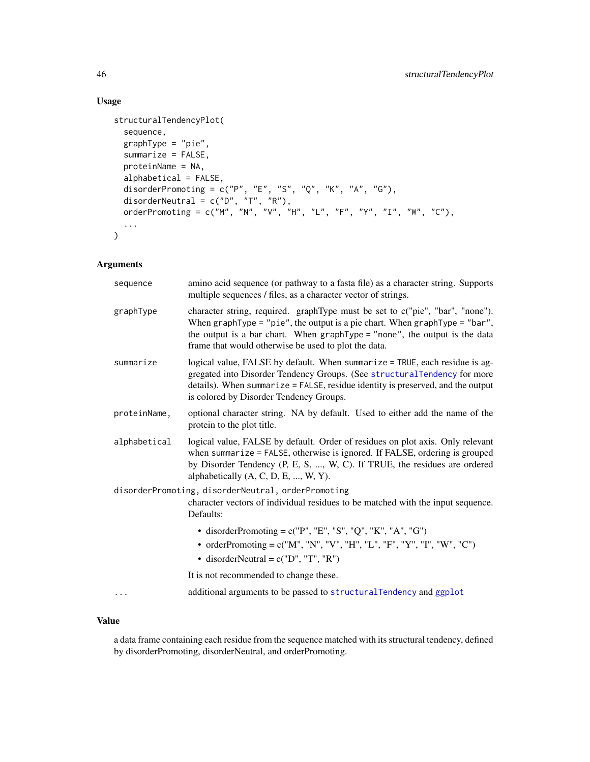# Usage

```
structuralTendencyPlot(
  sequence,
  graphType = "pie",
  summarize = FALSE,
 proteinName = NA,
  alphabetical = FALSE,
 disorderPromoting = c("P", "E", "S", "Q", "K", "A", "G"),disorderNeutral = c("D", "T", "R"),
  orderPromoting = c("M", "N", "V", "H", "L", "F", "Y", "I", "W", "C"),
  ...
\mathcal{L}
```
# Arguments

| sequence                                                                                                                                           | amino acid sequence (or pathway to a fasta file) as a character string. Supports<br>multiple sequences / files, as a character vector of strings.                                                                                                                                                     |
|----------------------------------------------------------------------------------------------------------------------------------------------------|-------------------------------------------------------------------------------------------------------------------------------------------------------------------------------------------------------------------------------------------------------------------------------------------------------|
| graphType                                                                                                                                          | character string, required. graphType must be set to c("pie", "bar", "none").<br>When $graphType = "pie", the output is a pie chart. When graphType = "bar",$<br>the output is a bar chart. When $graphType = "none",$ the output is the data<br>frame that would otherwise be used to plot the data. |
| summarize                                                                                                                                          | logical value, FALSE by default. When summarize = TRUE, each residue is ag-<br>gregated into Disorder Tendency Groups. (See structural Tendency for more<br>details). When summarize = FALSE, residue identity is preserved, and the output<br>is colored by Disorder Tendency Groups.                |
| proteinName,                                                                                                                                       | optional character string. NA by default. Used to either add the name of the<br>protein to the plot title.                                                                                                                                                                                            |
| alphabetical                                                                                                                                       | logical value, FALSE by default. Order of residues on plot axis. Only relevant<br>when summarize = FALSE, otherwise is ignored. If FALSE, ordering is grouped<br>by Disorder Tendency (P, E, S, , W, C). If TRUE, the residues are ordered<br>alphabetically (A, C, D, E, , W, Y).                    |
| disorderPromoting, disorderNeutral, orderPromoting<br>character vectors of individual residues to be matched with the input sequence.<br>Defaults: |                                                                                                                                                                                                                                                                                                       |
|                                                                                                                                                    | • disorderPromoting = $c("P", "E", "S", "Q", "K", "A", "G")$<br>• orderPromoting = c("M", "N", "V", "H", "L", "F", "Y", "I", "W", "C")<br>• disorderNeutral = $c("D", "T", "R")$                                                                                                                      |
|                                                                                                                                                    | It is not recommended to change these.                                                                                                                                                                                                                                                                |
|                                                                                                                                                    | additional arguments to be passed to structural Tendency and ggplot                                                                                                                                                                                                                                   |
|                                                                                                                                                    |                                                                                                                                                                                                                                                                                                       |

# Value

a data frame containing each residue from the sequence matched with its structural tendency, defined by disorderPromoting, disorderNeutral, and orderPromoting.

<span id="page-45-0"></span>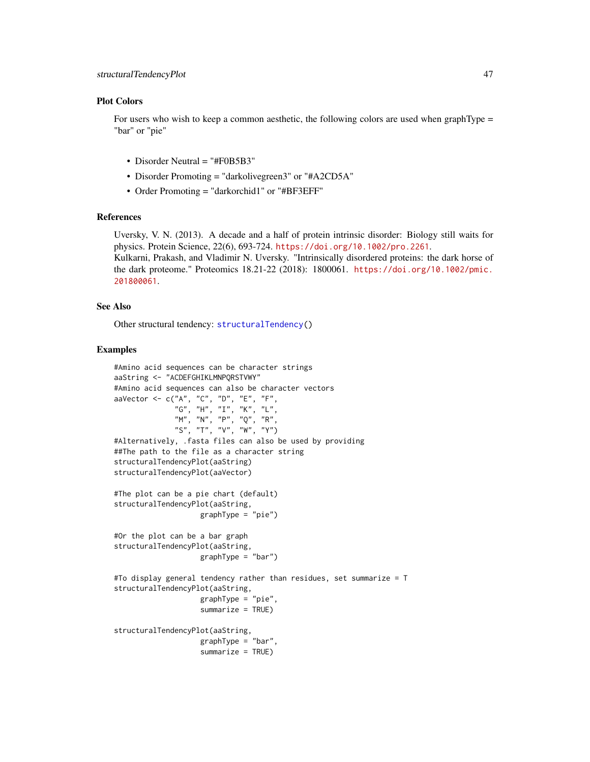# <span id="page-46-0"></span>Plot Colors

For users who wish to keep a common aesthetic, the following colors are used when graphType = "bar" or "pie"

- Disorder Neutral = "#F0B5B3"
- Disorder Promoting = "darkolivegreen3" or "#A2CD5A"
- Order Promoting = "darkorchid1" or "#BF3EFF"

# References

Uversky, V. N. (2013). A decade and a half of protein intrinsic disorder: Biology still waits for physics. Protein Science, 22(6), 693-724. <https://doi.org/10.1002/pro.2261>. Kulkarni, Prakash, and Vladimir N. Uversky. "Intrinsically disordered proteins: the dark horse of the dark proteome." Proteomics 18.21-22 (2018): 1800061. [https://doi.org/10.1002/pmic.](https://doi.org/10.1002/pmic.201800061) [201800061](https://doi.org/10.1002/pmic.201800061).

#### See Also

Other structural tendency: [structuralTendency\(](#page-43-1))

#### Examples

```
#Amino acid sequences can be character strings
aaString <- "ACDEFGHIKLMNPQRSTVWY"
#Amino acid sequences can also be character vectors
aaVector <- c("A", "C", "D", "E", "F",
              "G", "H", "I", "K", "L",
              "M", "N", "P", "Q", "R",
              "S", "T", "V", "W", "Y")
#Alternatively, .fasta files can also be used by providing
##The path to the file as a character string
structuralTendencyPlot(aaString)
structuralTendencyPlot(aaVector)
#The plot can be a pie chart (default)
structuralTendencyPlot(aaString,
                    graphType = "pie")
#Or the plot can be a bar graph
structuralTendencyPlot(aaString,
                    graphType = "bar")
#To display general tendency rather than residues, set summarize = T
structuralTendencyPlot(aaString,
                    graphType = "pie",
                    summarize = TRUE)
structuralTendencyPlot(aaString,
                    graphType = "bar",
                    summarize = TRUE)
```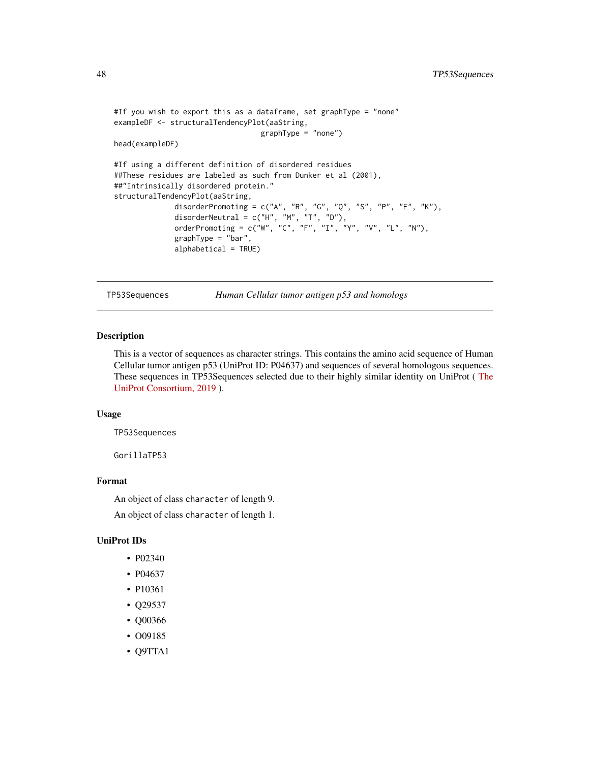```
#If you wish to export this as a dataframe, set graphType = "none"
exampleDF <- structuralTendencyPlot(aaString,
                                  graphType = "none")
head(exampleDF)
#If using a different definition of disordered residues
##These residues are labeled as such from Dunker et al (2001),
##"Intrinsically disordered protein."
structuralTendencyPlot(aaString,
              disorderPromoting = c("A", "R", "G", "Q", "S", "P", "E", "K"),disorderNeutral = c("H", "M", "T", "D"),
              orderPromoting = c("W", "C", "F", "I", "Y", "V", "L", "N"),
              graphType = "bar",
              alphabetical = TRUE)
```
TP53Sequences *Human Cellular tumor antigen p53 and homologs*

#### Description

This is a vector of sequences as character strings. This contains the amino acid sequence of Human Cellular tumor antigen p53 (UniProt ID: P04637) and sequences of several homologous sequences. These sequences in TP53Sequences selected due to their highly similar identity on UniProt ( [The](https://doi.org/10.1093/nar/gky1049) [UniProt Consortium, 2019](https://doi.org/10.1093/nar/gky1049) ).

#### Usage

TP53Sequences

GorillaTP53

# Format

An object of class character of length 9.

An object of class character of length 1.

# UniProt IDs

- P02340
- P04637
- P10361
- Q29537
- Q00366
- O09185
- Q9TTA1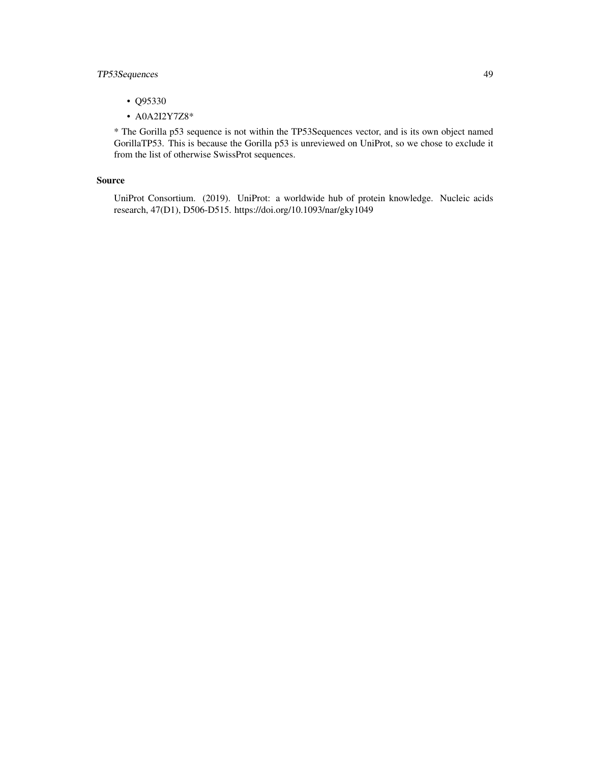# TP53Sequences 49

- Q95330
- A0A2I2Y7Z8\*

\* The Gorilla p53 sequence is not within the TP53Sequences vector, and is its own object named GorillaTP53. This is because the Gorilla p53 is unreviewed on UniProt, so we chose to exclude it from the list of otherwise SwissProt sequences.

# Source

UniProt Consortium. (2019). UniProt: a worldwide hub of protein knowledge. Nucleic acids research, 47(D1), D506-D515. https://doi.org/10.1093/nar/gky1049